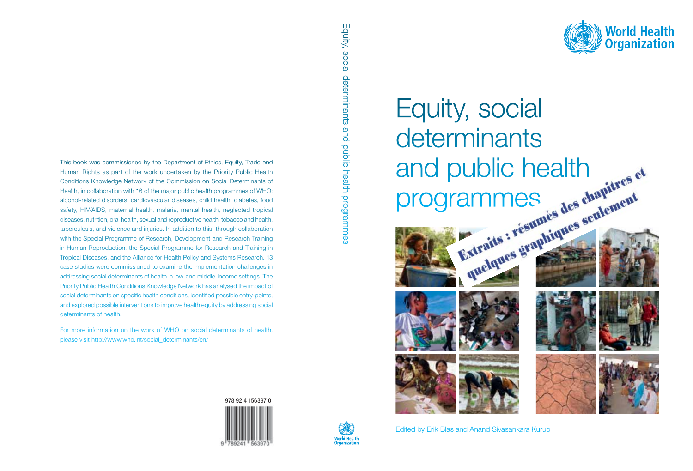

# Equity, social determinants Britailles des chapitres et and public health Ammes des chapitres programmes





















Edited by Erik Blas and Anand Sivasankara Kurup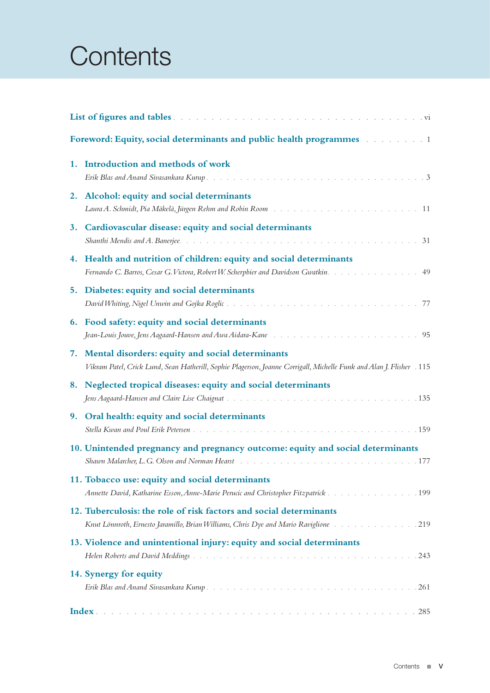### **Contents**

|    | <b>Foreword: Equity, social determinants and public health programmes</b> 1                                                                                               |
|----|---------------------------------------------------------------------------------------------------------------------------------------------------------------------------|
| 1. | Introduction and methods of work                                                                                                                                          |
|    | 2. Alcohol: equity and social determinants                                                                                                                                |
| 3. | Cardiovascular disease: equity and social determinants                                                                                                                    |
|    | 4. Health and nutrition of children: equity and social determinants<br>Fernando C. Barros, Cesar G. Victora, Robert W. Scherpbier and Davidson Gwatkin. 49                |
|    | 5. Diabetes: equity and social determinants                                                                                                                               |
|    | 6. Food safety: equity and social determinants<br>Jean-Louis Jouve, Jens Aagaard-Hansen and Awa Aidara-Kane Alberts And Alberts Alberts Alberts Andrew Strategie          |
| 7. | Mental disorders: equity and social determinants<br>Vikram Patel, Crick Lund, Sean Hatherill, Sophie Plagerson, Joanne Corrigall, Michelle Funk and Alan J. Flisher . 115 |
|    | 8. Neglected tropical diseases: equity and social determinants                                                                                                            |
|    | 9. Oral health: equity and social determinants                                                                                                                            |
|    | 10. Unintended pregnancy and pregnancy outcome: equity and social determinants                                                                                            |
|    | 11. Tobacco use: equity and social determinants<br>Annette David, Katharine Esson, Anne-Marie Perucic and Christopher Fitzpatrick 199                                     |
|    | 12. Tuberculosis: the role of risk factors and social determinants<br>Knut Lönnroth, Ernesto Jaramillo, Brian Williams, Chris Dye and Mario Raviglione 219                |
|    | 13. Violence and unintentional injury: equity and social determinants                                                                                                     |
|    | 14. Synergy for equity                                                                                                                                                    |
|    |                                                                                                                                                                           |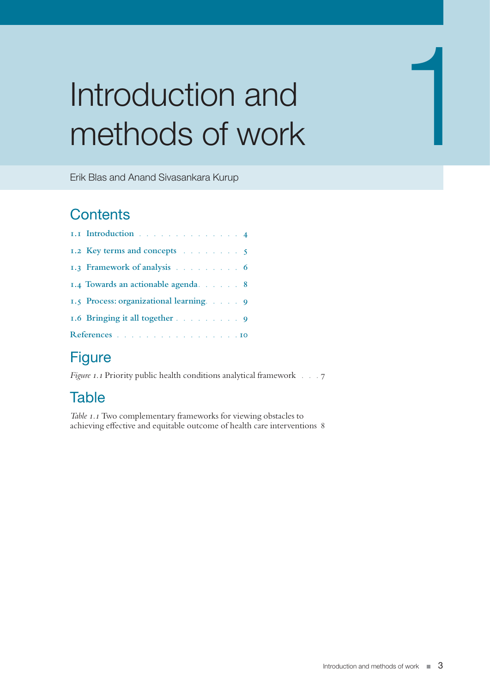# Introduction and Introduction and<br>methods of work

Erik Blas and Anand Sivasankara Kurup

#### **Contents**

| 1.1 Introduction 4                      |  |  |  |
|-----------------------------------------|--|--|--|
| 1.2 Key terms and concepts 5            |  |  |  |
| 1.3 Framework of analysis 6             |  |  |  |
| 1.4 Towards an actionable agenda. 8     |  |  |  |
| 1.5 Process: organizational learning. 9 |  |  |  |
| 1.6 Bringing it all together 9          |  |  |  |
| References 10                           |  |  |  |

#### **Figure**

*Figure 1.1* Priority public health conditions analytical framework . . . 7

#### **Table**

*Table 1.1* Two complementary frameworks for viewing obstacles to achieving effective and equitable outcome of health care interventions 8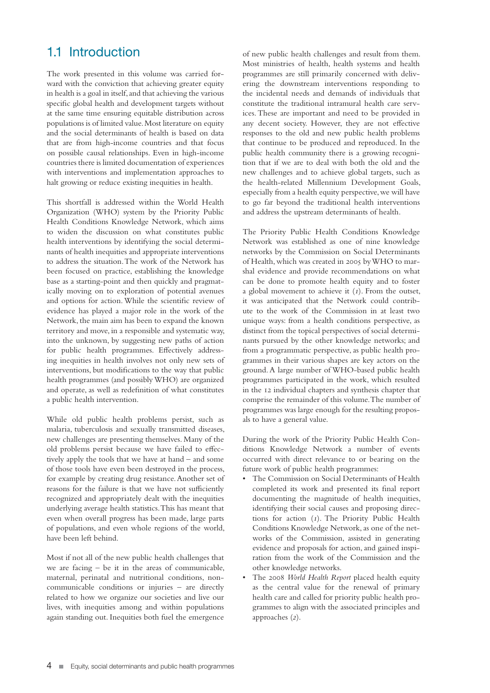#### 1.1 Introduction

The work presented in this volume was carried forward with the conviction that achieving greater equity in health is a goal in itself, and that achieving the various specific global health and development targets without at the same time ensuring equitable distribution across populations is of limited value. Most literature on equity and the social determinants of health is based on data that are from high-income countries and that focus on possible causal relationships. Even in high-income countries there is limited documentation of experiences with interventions and implementation approaches to halt growing or reduce existing inequities in health.

This shortfall is addressed within the World Health Organization (WHO) system by the Priority Public Health Conditions Knowledge Network, which aims to widen the discussion on what constitutes public health interventions by identifying the social determinants of health inequities and appropriate interventions to address the situation. The work of the Network has been focused on practice, establishing the knowledge base as a starting-point and then quickly and pragmatically moving on to exploration of potential avenues and options for action. While the scientific review of evidence has played a major role in the work of the Network, the main aim has been to expand the known territory and move, in a responsible and systematic way, into the unknown, by suggesting new paths of action for public health programmes. Effectively addressing inequities in health involves not only new sets of interventions, but modifications to the way that public health programmes (and possibly WHO) are organized and operate, as well as redefinition of what constitutes a public health intervention.

While old public health problems persist, such as malaria, tuberculosis and sexually transmitted diseases, new challenges are presenting themselves. Many of the old problems persist because we have failed to effectively apply the tools that we have at hand – and some of those tools have even been destroyed in the process, for example by creating drug resistance. Another set of reasons for the failure is that we have not sufficiently recognized and appropriately dealt with the inequities underlying average health statistics. This has meant that even when overall progress has been made, large parts of populations, and even whole regions of the world, have been left behind.

Most if not all of the new public health challenges that we are facing – be it in the areas of communicable, maternal, perinatal and nutritional conditions, noncommunicable conditions or injuries – are directly related to how we organize our societies and live our lives, with inequities among and within populations again standing out. Inequities both fuel the emergence

of new public health challenges and result from them. Most ministries of health, health systems and health programmes are still primarily concerned with delivering the downstream interventions responding to the incidental needs and demands of individuals that constitute the traditional intramural health care services. These are important and need to be provided in any decent society. However, they are not effective responses to the old and new public health problems that continue to be produced and reproduced. In the public health community there is a growing recognition that if we are to deal with both the old and the new challenges and to achieve global targets, such as the health-related Millennium Development Goals, especially from a health equity perspective, we will have to go far beyond the traditional health interventions and address the upstream determinants of health.

The Priority Public Health Conditions Knowledge Network was established as one of nine knowledge networks by the Commission on Social Determinants of Health, which was created in 2005 by WHO to marshal evidence and provide recommendations on what can be done to promote health equity and to foster a global movement to achieve it (*1* ). From the outset, it was anticipated that the Network could contribute to the work of the Commission in at least two unique ways: from a health conditions perspective, as distinct from the topical perspectives of social determinants pursued by the other knowledge networks; and from a programmatic perspective, as public health programmes in their various shapes are key actors on the ground. A large number of WHO-based public health programmes participated in the work, which resulted in the 12 individual chapters and synthesis chapter that comprise the remainder of this volume. The number of programmes was large enough for the resulting proposals to have a general value.

During the work of the Priority Public Health Conditions Knowledge Network a number of events occurred with direct relevance to or bearing on the future work of public health programmes:

- The Commission on Social Determinants of Health completed its work and presented its final report documenting the magnitude of health inequities, identifying their social causes and proposing directions for action (1). The Priority Public Health Conditions Knowledge Network, as one of the networks of the Commission, assisted in generating evidence and proposals for action, and gained inspiration from the work of the Commission and the other knowledge networks.
- The 2008 *World Health Report* placed health equity as the central value for the renewal of primary health care and called for priority public health programmes to align with the associated principles and approaches (*2* ).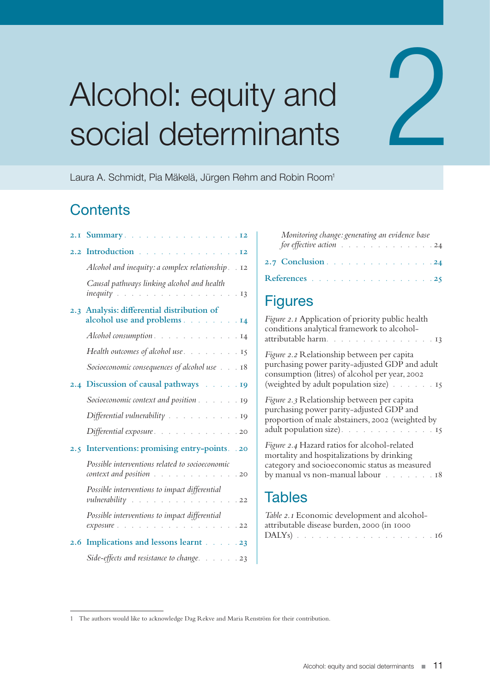# Alcohol: equity and Alcohol: equity and<br>social determinants

Laura A. Schmidt, Pia Mäkelä, Jürgen Rehm and Robin Room<sup>1</sup>

#### **Contents**

| 2.1 Summary                                                                         |
|-------------------------------------------------------------------------------------|
| 2.2 Introduction 12                                                                 |
| Alcohol and inequity: a complex relationship. . 12                                  |
| Causal pathways linking alcohol and health<br><i>inequity</i> 13                    |
| 2.3 Analysis: differential distribution of<br>alcohol use and problems 14           |
| Alcohol consumption $\ldots$ $\ldots$ $\ldots$ $\ldots$ $\ldots$ $\ldots$           |
| Health outcomes of alcohol use. 15                                                  |
| Socioeconomic consequences of alcohol use 18                                        |
| 2.4 Discussion of causal pathways<br>.19                                            |
| Socioeconomic context and position<br>.19                                           |
| Differential vulnerability 19                                                       |
| $\text{Differential exposure.}$<br>.20                                              |
| 2.5 Interventions: promising entry-points.<br>.20                                   |
| Possible interventions related to socioeconomic<br>context and position $\ldots$ 20 |
| Possible interventions to impact differential<br>vulnerability 22                   |
| Possible interventions to impact differential<br>exposure 22                        |
| 2.6 Implications and lessons learnt 23                                              |
| Side-effects and resistance to change. 23                                           |

| Monitoring change: generating an evidence base               |  |  |  |  |  |  |  |
|--------------------------------------------------------------|--|--|--|--|--|--|--|
| for effective action $\ldots \ldots \ldots \ldots \ldots 24$ |  |  |  |  |  |  |  |
| 2.7 Conclusion24                                             |  |  |  |  |  |  |  |
| References 25                                                |  |  |  |  |  |  |  |

#### **Figures**

| Figure 2.1 Application of priority public health<br>conditions analytical framework to alcohol-                                                                                          |
|------------------------------------------------------------------------------------------------------------------------------------------------------------------------------------------|
| Figure 2.2 Relationship between per capita<br>purchasing power parity-adjusted GDP and adult<br>consumption (litres) of alcohol per year, 2002<br>(weighted by adult population size) 15 |
| Figure 2.3 Relationship between per capita<br>purchasing power parity-adjusted GDP and<br>proportion of male abstainers, 2002 (weighted by<br>adult population size). 15                 |
| Figure 2.4 Hazard ratios for alcohol-related<br>mortality and hospitalizations by drinking<br>category and socioeconomic status as measured<br>by manual vs non-manual labour 18         |
| <b>Tables</b>                                                                                                                                                                            |
| Table 2.1 Economic development and alcohol-                                                                                                                                              |

| Table 2.1 Economic development and alcohol- |  |  |  |  |  |  |  |  |  |
|---------------------------------------------|--|--|--|--|--|--|--|--|--|
| attributable disease burden, 2000 (in 1000  |  |  |  |  |  |  |  |  |  |
| $\text{DALYs}$ 16                           |  |  |  |  |  |  |  |  |  |

<sup>1</sup> The authors would like to acknowledge Dag Rekve and Maria Renström for their contribution.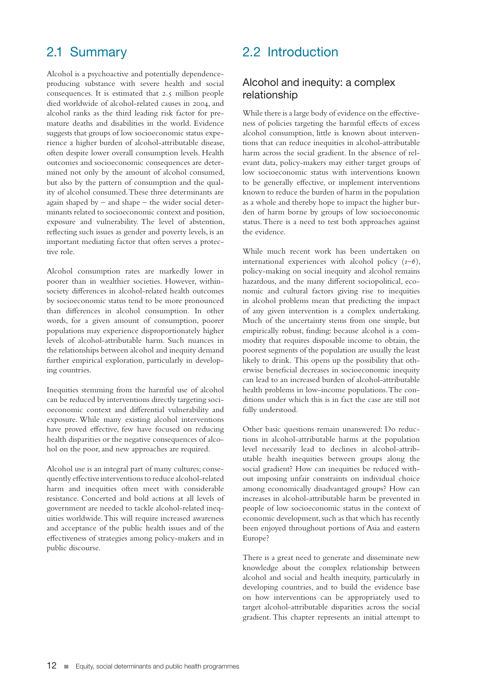Alcohol is a psychoactive and potentially dependenceproducing substance with severe health and social consequences. It is estimated that 2.5 million people died worldwide of alcohol-related causes in 2004, and alcohol ranks as the third leading risk factor for premature deaths and disabilities in the world. Evidence suggests that groups of low socioeconomic status experience a higher burden of alcohol-attributable disease, often despite lower overall consumption levels. Health outcomes and socioeconomic consequences are determined not only by the amount of alcohol consumed, but also by the pattern of consumption and the quality of alcohol consumed. These three determinants are again shaped by – and shape – the wider social determinants related to socioeconomic context and position, exposure and vulnerability. The level of abstention, reflecting such issues as gender and poverty levels, is an important mediating factor that often serves a protective role.

Alcohol consumption rates are markedly lower in poorer than in wealthier societies. However, withinsociety differences in alcohol-related health outcomes by socioeconomic status tend to be more pronounced than differences in alcohol consumption*.* In other words, for a given amount of consumption, poorer populations may experience disproportionately higher levels of alcohol-attributable harm. Such nuances in the relationships between alcohol and inequity demand further empirical exploration, particularly in developing countries.

Inequities stemming from the harmful use of alcohol can be reduced by interventions directly targeting socioeconomic context and differential vulnerability and exposure. While many existing alcohol interventions have proved effective, few have focused on reducing health disparities or the negative consequences of alcohol on the poor, and new approaches are required.

Alcohol use is an integral part of many cultures; consequently effective interventions to reduce alcohol-related harm and inequities often meet with considerable resistance. Concerted and bold actions at all levels of government are needed to tackle alcohol-related inequities worldwide. This will require increased awareness and acceptance of the public health issues and of the effectiveness of strategies among policy-makers and in public discourse.

#### 2.2 Introduction

#### Alcohol and inequity: a complex relationship

While there is a large body of evidence on the effectiveness of policies targeting the harmful effects of excess alcohol consumption, little is known about interventions that can reduce inequities in alcohol-attributable harm across the social gradient. In the absence of relevant data, policy-makers may either target groups of low socioeconomic status with interventions known to be generally effective, or implement interventions known to reduce the burden of harm in the population as a whole and thereby hope to impact the higher burden of harm borne by groups of low socioeconomic status. There is a need to test both approaches against the evidence.

While much recent work has been undertaken on international experiences with alcohol policy (*1–6* ), policy-making on social inequity and alcohol remains hazardous, and the many different sociopolitical, economic and cultural factors giving rise to inequities in alcohol problems mean that predicting the impact of any given intervention is a complex undertaking. Much of the uncertainty stems from one simple, but empirically robust, finding: because alcohol is a commodity that requires disposable income to obtain, the poorest segments of the population are usually the least likely to drink. This opens up the possibility that otherwise beneficial decreases in socioeconomic inequity can lead to an increased burden of alcohol-attributable health problems in low-income populations. The conditions under which this is in fact the case are still not fully understood.

Other basic questions remain unanswered: Do reductions in alcohol-attributable harms at the population level necessarily lead to declines in alcohol-attributable health inequities between groups along the social gradient? How can inequities be reduced without imposing unfair constraints on individual choice among economically disadvantaged groups? How can increases in alcohol-attributable harm be prevented in people of low socioeconomic status in the context of economic development, such as that which has recently been enjoyed throughout portions of Asia and eastern Europe?

There is a great need to generate and disseminate new knowledge about the complex relationship between alcohol and social and health inequity, particularly in developing countries, and to build the evidence base on how interventions can be appropriately used to target alcohol-attributable disparities across the social gradient. This chapter represents an initial attempt to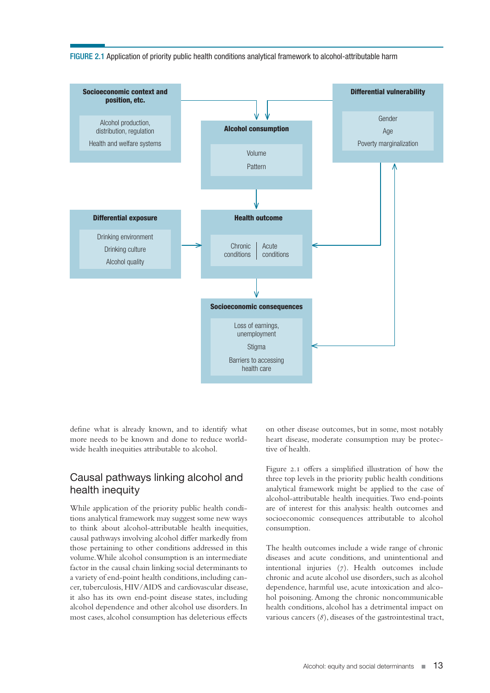

FIGURE 2.1 Application of priority public health conditions analytical framework to alcohol-attributable harm

define what is already known, and to identify what more needs to be known and done to reduce worldwide health inequities attributable to alcohol.

#### Causal pathways linking alcohol and health inequity

While application of the priority public health conditions analytical framework may suggest some new ways to think about alcohol-attributable health inequities, causal pathways involving alcohol differ markedly from those pertaining to other conditions addressed in this volume. While alcohol consumption is an intermediate factor in the causal chain linking social determinants to a variety of end-point health conditions, including cancer, tuberculosis, HIV/AIDS and cardiovascular disease, it also has its own end-point disease states, including alcohol dependence and other alcohol use disorders. In most cases, alcohol consumption has deleterious effects

on other disease outcomes, but in some, most notably heart disease, moderate consumption may be protective of health.

Figure 2.1 offers a simplified illustration of how the three top levels in the priority public health conditions analytical framework might be applied to the case of alcohol-attributable health inequities. Two end-points are of interest for this analysis: health outcomes and socioeconomic consequences attributable to alcohol consumption.

The health outcomes include a wide range of chronic diseases and acute conditions, and unintentional and intentional injuries (*7* ). Health outcomes include chronic and acute alcohol use disorders, such as alcohol dependence, harmful use, acute intoxication and alcohol poisoning. Among the chronic noncommunicable health conditions, alcohol has a detrimental impact on various cancers (*8* ), diseases of the gastrointestinal tract,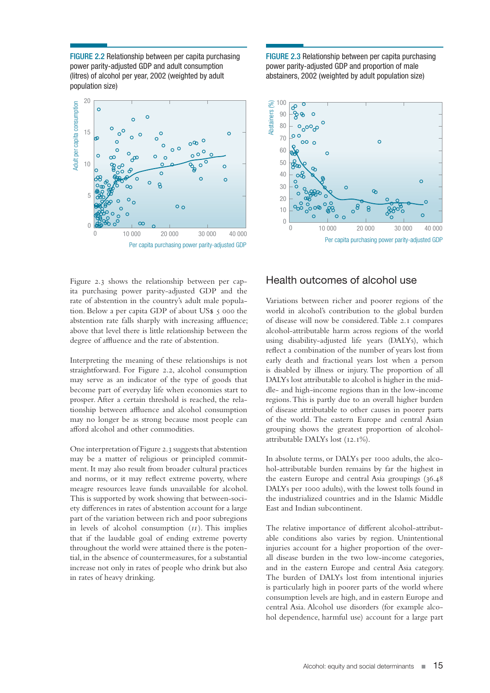FIGURE 2.2 Relationship between per capita purchasing power parity-adjusted GDP and adult consumption (litres) of alcohol per year, 2002 (weighted by adult population size)



FIGURE 2.3 Relationship between per capita purchasing power parity-adjusted GDP and proportion of male abstainers, 2002 (weighted by adult population size)



Figure 2.3 shows the relationship between per capita purchasing power parity-adjusted GDP and the rate of abstention in the country's adult male population. Below a per capita GDP of about US\$ 5 000 the abstention rate falls sharply with increasing affluence; above that level there is little relationship between the degree of affluence and the rate of abstention.

Interpreting the meaning of these relationships is not straightforward. For Figure 2.2, alcohol consumption may serve as an indicator of the type of goods that become part of everyday life when economies start to prosper. After a certain threshold is reached, the relationship between affluence and alcohol consumption may no longer be as strong because most people can afford alcohol and other commodities.

One interpretation of Figure 2.3 suggests that abstention may be a matter of religious or principled commitment. It may also result from broader cultural practices and norms, or it may reflect extreme poverty, where meagre resources leave funds unavailable for alcohol. This is supported by work showing that between-society differences in rates of abstention account for a large part of the variation between rich and poor subregions in levels of alcohol consumption (*11* ). This implies that if the laudable goal of ending extreme poverty throughout the world were attained there is the potential, in the absence of countermeasures, for a substantial increase not only in rates of people who drink but also in rates of heavy drinking.

#### Health outcomes of alcohol use

Variations between richer and poorer regions of the world in alcohol's contribution to the global burden of disease will now be considered. Table 2.1 compares alcohol-attributable harm across regions of the world using disability-adjusted life years (DALYs), which reflect a combination of the number of years lost from early death and fractional years lost when a person is disabled by illness or injury. The proportion of all DALYs lost attributable to alcohol is higher in the middle- and high-income regions than in the low-income regions. This is partly due to an overall higher burden of disease attributable to other causes in poorer parts of the world. The eastern Europe and central Asian grouping shows the greatest proportion of alcoholattributable DALYs lost (12.1%).

In absolute terms, or DALYs per 1000 adults, the alcohol-attributable burden remains by far the highest in the eastern Europe and central Asia groupings (36.48 DALYs per 1000 adults), with the lowest tolls found in the industrialized countries and in the Islamic Middle East and Indian subcontinent.

The relative importance of different alcohol-attributable conditions also varies by region. Unintentional injuries account for a higher proportion of the overall disease burden in the two low-income categories, and in the eastern Europe and central Asia category. The burden of DALYs lost from intentional injuries is particularly high in poorer parts of the world where consumption levels are high, and in eastern Europe and central Asia. Alcohol use disorders (for example alcohol dependence, harmful use) account for a large part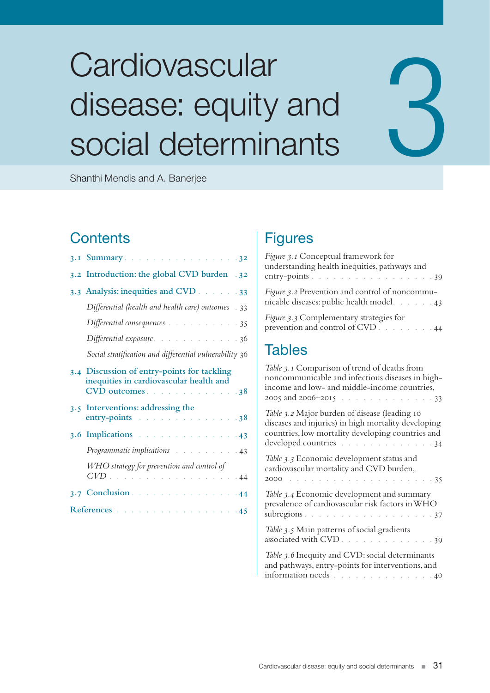# **Cardiovascular** disease: equity and Cardiovascular<br>disease: equity and<br>social determinants

Shanthi Mendis and A. Banerjee

#### **Contents**

| 3.1 Summary. 32                                                                                              |
|--------------------------------------------------------------------------------------------------------------|
| 3.2 Introduction: the global CVD burden .32                                                                  |
| 3.3 Analysis: inequities and CVD 33                                                                          |
| Differential (health and health care) outcomes<br>.33                                                        |
| Differential consequences 35                                                                                 |
| Differential exposure. 36                                                                                    |
| Social stratification and differential vulnerability 36                                                      |
| 3.4 Discussion of entry-points for tackling<br>inequities in cardiovascular health and<br>$CVD$ outcomes. 38 |
| 3.5 Interventions: addressing the<br>entry-points 38                                                         |
| 3.6 Implications 43                                                                                          |
| Programmatic implications 43                                                                                 |
| WHO strategy for prevention and control of<br>$CVD$ 44                                                       |
| 3.7 Conclusion44                                                                                             |
| References 45                                                                                                |

#### **Figures**

| 1.99100                                                                                                                                                                                 |
|-----------------------------------------------------------------------------------------------------------------------------------------------------------------------------------------|
| Figure 3.1 Conceptual framework for<br>understanding health inequities, pathways and<br>entry-points.<br>$\sim$ $\sim$<br>. 39                                                          |
| Figure 3.2 Prevention and control of noncommu-<br>nicable diseases: public health model.<br>.43                                                                                         |
| Figure 3.3 Complementary strategies for<br>prevention and control of CVD.<br>.44                                                                                                        |
| Tables                                                                                                                                                                                  |
| Table 3.1 Comparison of trend of deaths from<br>noncommunicable and infectious diseases in high-<br>income and low- and middle-income countries,<br>2005 and 2006–2015<br>$-33$         |
| Table 3.2 Major burden of disease (leading 10<br>diseases and injuries) in high mortality developing<br>countries, low mortality developing countries and<br>developed countries<br>.34 |
| Table 3.3 Economic development status and<br>cardiovascular mortality and CVD burden,<br>2000<br>$-35$                                                                                  |
| Table 3.4 Economic development and summary<br>prevalence of cardiovascular risk factors in WHO<br>subregions.<br>.37                                                                    |
| Table 3.5 Main patterns of social gradients<br>associated with CVD.<br>.<br>39                                                                                                          |
| Table 3.6 Inequity and CVD: social determinants<br>and pathways, entry-points for interventions, and<br>information needs<br>$\cdot \cdot \cdot \cdot \cdot 40$                         |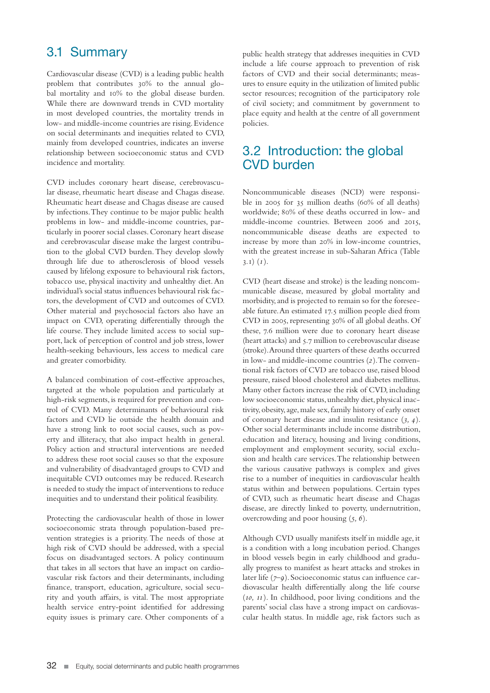Cardiovascular disease (CVD) is a leading public health problem that contributes 30% to the annual global mortality and 10% to the global disease burden. While there are downward trends in CVD mortality in most developed countries, the mortality trends in low- and middle-income countries are rising. Evidence on social determinants and inequities related to CVD, mainly from developed countries, indicates an inverse relationship between socioeconomic status and CVD incidence and mortality.

CVD includes coronary heart disease, cerebrovascular disease, rheumatic heart disease and Chagas disease. Rheumatic heart disease and Chagas disease are caused by infections. They continue to be major public health problems in low- and middle-income countries, particularly in poorer social classes. Coronary heart disease and cerebrovascular disease make the largest contribution to the global CVD burden. They develop slowly through life due to atherosclerosis of blood vessels caused by lifelong exposure to behavioural risk factors, tobacco use, physical inactivity and unhealthy diet. An individual's social status influences behavioural risk factors, the development of CVD and outcomes of CVD. Other material and psychosocial factors also have an impact on CVD, operating differentially through the life course. They include limited access to social support, lack of perception of control and job stress, lower health-seeking behaviours, less access to medical care and greater comorbidity.

A balanced combination of cost-effective approaches, targeted at the whole population and particularly at high-risk segments, is required for prevention and control of CVD. Many determinants of behavioural risk factors and CVD lie outside the health domain and have a strong link to root social causes, such as poverty and illiteracy, that also impact health in general. Policy action and structural interventions are needed to address these root social causes so that the exposure and vulnerability of disadvantaged groups to CVD and inequitable CVD outcomes may be reduced. Research is needed to study the impact of interventions to reduce inequities and to understand their political feasibility.

Protecting the cardiovascular health of those in lower socioeconomic strata through population-based prevention strategies is a priority. The needs of those at high risk of CVD should be addressed, with a special focus on disadvantaged sectors. A policy continuum that takes in all sectors that have an impact on cardiovascular risk factors and their determinants, including finance, transport, education, agriculture, social security and youth affairs, is vital. The most appropriate health service entry-point identified for addressing equity issues is primary care. Other components of a

public health strategy that addresses inequities in CVD include a life course approach to prevention of risk factors of CVD and their social determinants; measures to ensure equity in the utilization of limited public sector resources; recognition of the participatory role of civil society; and commitment by government to place equity and health at the centre of all government policies.

#### 3.2 Introduction: the global CVD burden

Noncommunicable diseases (NCD) were responsible in 2005 for 35 million deaths (60% of all deaths) worldwide; 80% of these deaths occurred in low- and middle-income countries. Between 2006 and 2015, noncommunicable disease deaths are expected to increase by more than 20% in low-income countries, with the greatest increase in sub-Saharan Africa (Table 3.1) (*1* ).

CVD (heart disease and stroke) is the leading noncommunicable disease, measured by global mortality and morbidity, and is projected to remain so for the foreseeable future. An estimated 17.5 million people died from CVD in 2005, representing 30% of all global deaths. Of these, 7.6 million were due to coronary heart disease (heart attacks) and 5.7 million to cerebrovascular disease (stroke). Around three quarters of these deaths occurred in low- and middle-income countries (*2* ). The conventional risk factors of CVD are tobacco use, raised blood pressure, raised blood cholesterol and diabetes mellitus. Many other factors increase the risk of CVD, including low socioeconomic status, unhealthy diet, physical inactivity, obesity, age, male sex, family history of early onset of coronary heart disease and insulin resistance (*3, 4* ). Other social determinants include income distribution, education and literacy, housing and living conditions, employment and employment security, social exclusion and health care services. The relationship between the various causative pathways is complex and gives rise to a number of inequities in cardiovascular health status within and between populations. Certain types of CVD, such as rheumatic heart disease and Chagas disease, are directly linked to poverty, undernutrition, overcrowding and poor housing (*5, 6* ).

Although CVD usually manifests itself in middle age, it is a condition with a long incubation period. Changes in blood vessels begin in early childhood and gradually progress to manifest as heart attacks and strokes in later life (*7–9* ). Socioeconomic status can influence cardiovascular health differentially along the life course (*10, 11* ). In childhood, poor living conditions and the parents' social class have a strong impact on cardiovascular health status. In middle age, risk factors such as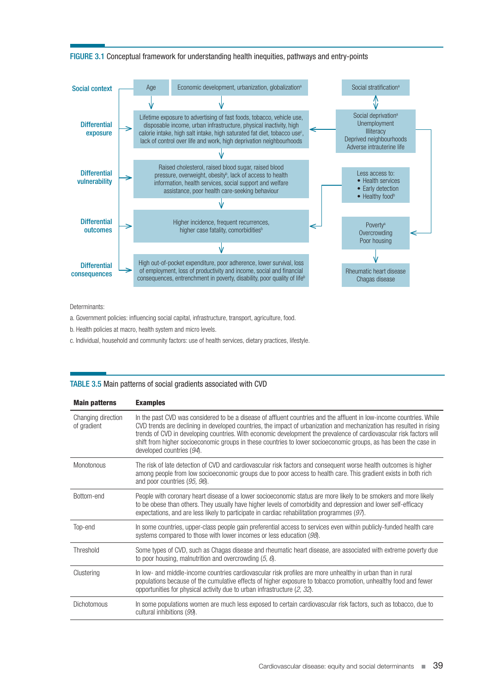

FIGURE 3.1 Conceptual framework for understanding health inequities, pathways and entry-points

Determinants:

a. Government policies: influencing social capital, infrastructure, transport, agriculture, food.

b. Health policies at macro, health system and micro levels.

c. Individual, household and community factors: use of health services, dietary practices, lifestyle.

| <b>Main patterns</b>              | <b>Examples</b>                                                                                                                                                                                                                                                                                                                                                                                                                                                                                                      |
|-----------------------------------|----------------------------------------------------------------------------------------------------------------------------------------------------------------------------------------------------------------------------------------------------------------------------------------------------------------------------------------------------------------------------------------------------------------------------------------------------------------------------------------------------------------------|
| Changing direction<br>of gradient | In the past CVD was considered to be a disease of affluent countries and the affluent in low-income countries. While<br>CVD trends are declining in developed countries, the impact of urbanization and mechanization has resulted in rising<br>trends of CVD in developing countries. With economic development the prevalence of cardiovascular risk factors will<br>shift from higher socioeconomic groups in these countries to lower socioeconomic groups, as has been the case in<br>developed countries (94). |
| Monotonous                        | The risk of late detection of CVD and cardiovascular risk factors and consequent worse health outcomes is higher<br>among people from low socioeconomic groups due to poor access to health care. This gradient exists in both rich<br>and poor countries (95, 96).                                                                                                                                                                                                                                                  |
| Bottom-end                        | People with coronary heart disease of a lower socioeconomic status are more likely to be smokers and more likely<br>to be obese than others. They usually have higher levels of comorbidity and depression and lower self-efficacy<br>expectations, and are less likely to participate in cardiac rehabilitation programmes $(97)$ .                                                                                                                                                                                 |
| Top-end                           | In some countries, upper-class people gain preferential access to services even within publicly-funded health care<br>systems compared to those with lower incomes or less education (98).                                                                                                                                                                                                                                                                                                                           |
| Threshold                         | Some types of CVD, such as Chagas disease and rheumatic heart disease, are associated with extreme poverty due<br>to poor housing, malnutrition and overcrowding $(5, 6)$ .                                                                                                                                                                                                                                                                                                                                          |
| Clustering                        | In low- and middle-income countries cardiovascular risk profiles are more unhealthy in urban than in rural<br>populations because of the cumulative effects of higher exposure to tobacco promotion, unhealthy food and fewer<br>opportunities for physical activity due to urban infrastructure $(2, 32)$ .                                                                                                                                                                                                         |
| Dichotomous                       | In some populations women are much less exposed to certain cardiovascular risk factors, such as tobacco, due to<br>cultural inhibitions (99).                                                                                                                                                                                                                                                                                                                                                                        |

#### TABLE 3.5 Main patterns of social gradients associated with CVD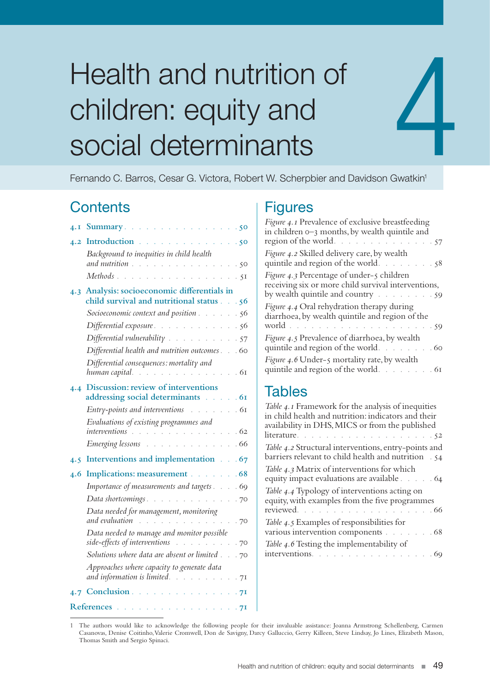### Health and nutrition of children: equity and social determinants



Fernando C. Barros, Cesar G. Victora, Robert W. Scherpbier and Davidson Gwatkin<sup>1</sup>

#### **Contents**

| 4.1 | Summary.<br>.50                                                                                                                        |
|-----|----------------------------------------------------------------------------------------------------------------------------------------|
| 4.2 | Introduction.<br>and the company of the company<br>.50                                                                                 |
|     | Background to inequities in child health<br>and nutrition $\ldots$ $\ldots$ $\ldots$ $\ldots$ $\ldots$ $\ldots$ $\ldots$               |
|     | $Methods$ and $A$ and $A$ and $A$ and $A$<br>.5I                                                                                       |
|     |                                                                                                                                        |
| 4.3 | Analysis: socioeconomic differentials in<br>child survival and nutritional status.<br>$\mathcal{L}_{\mathcal{A}}$<br>.56               |
|     | Socioeconomic context and position<br>. 56                                                                                             |
|     | Differential exposure.<br>.56                                                                                                          |
|     | $\text{Differential } \text{vunderability} \dots \dots \dots \dots$<br>.57                                                             |
|     | Differential health and nutrition outcomes.<br>.60<br>J                                                                                |
|     | Differential consequences: mortality and<br>human capital.<br>$\mathcal{A}$ , and a set of the set of the set of $\mathcal{A}$<br>. 61 |
| 4.4 | Discussion: review of interventions<br>addressing social determinants<br>.61                                                           |
|     | $Entry$ -points and interventions $\ldots$ 61                                                                                          |
|     | Evaluations of existing programmes and<br>interventions<br>.62                                                                         |
|     | Emerging lessons and a series and series and series and series and series and series and series are series and<br>. 66                 |
| 4.5 | Interventions and implementation.<br>. 67                                                                                              |
| 4.6 | Implications: measurement<br>.68                                                                                                       |
|     | Importance of measurements and targets<br>. 69                                                                                         |
|     | Data shortcomings.<br>$\mathcal{A}$ , and $\mathcal{A}$ , and $\mathcal{A}$ , and $\mathcal{A}$ , and $\mathcal{A}$<br>.70             |
|     | Data needed for management, monitoring<br>and evaluation<br>restaurant and a straight and<br>.70                                       |
|     | Data needed to manage and monitor possible<br>side-effects of interventions<br>. 70                                                    |
|     | Solutions where data are absent or limited.<br>.70                                                                                     |
|     | Approaches where capacity to generate data<br>and information is limited.<br>.71                                                       |
|     | 4.7 Conclusion<br>.71                                                                                                                  |
|     | References<br>.71                                                                                                                      |

#### **Figures**

| Figure 4.1 Prevalence of exclusive breastfeeding<br>in children 0-3 months, by wealth quintile and<br>region of the world. 57                |
|----------------------------------------------------------------------------------------------------------------------------------------------|
| Figure 4.2 Skilled delivery care, by wealth<br>quintile and region of the world. 58                                                          |
| <i>Figure 4.3</i> Percentage of under-5 children<br>receiving six or more child survival interventions,<br>by wealth quintile and country 59 |
| Figure 4.4 Oral rehydration therapy during<br>diarrhoea, by wealth quintile and region of the                                                |
| <i>Figure 4.5</i> Prevalence of diarrhoea, by wealth<br>quintile and region of the world. 60                                                 |
| <i>Figure 4.6</i> Under-5 mortality rate, by wealth<br>quintile and region of the world. 61                                                  |
|                                                                                                                                              |

#### **Tables**

| Table 4.1 Framework for the analysis of inequities<br>in child health and nutrition: indicators and their<br>availability in DHS, MICS or from the published |
|--------------------------------------------------------------------------------------------------------------------------------------------------------------|
| <i>Table 4.2</i> Structural interventions, entry-points and<br>barriers relevant to child health and nutrition 54                                            |
| Table 4.3 Matrix of interventions for which<br>equity impact evaluations are available 64                                                                    |
| Table 4.4 Typology of interventions acting on<br>equity, with examples from the five programmes                                                              |
| Table 4.5 Examples of responsibilities for<br>various intervention components 68                                                                             |
| Table 4.6 Testing the implementability of<br>interventions. 69                                                                                               |

<sup>1</sup> The authors would like to acknowledge the following people for their invaluable assistance: Joanna Armstrong Schellenberg, Carmen Casanovas, Denise Coitinho, Valerie Cromwell, Don de Savigny, Darcy Galluccio, Gerry Killeen, Steve Lindsay, Jo Lines, Elizabeth Mason, Thomas Smith and Sergio Spinaci.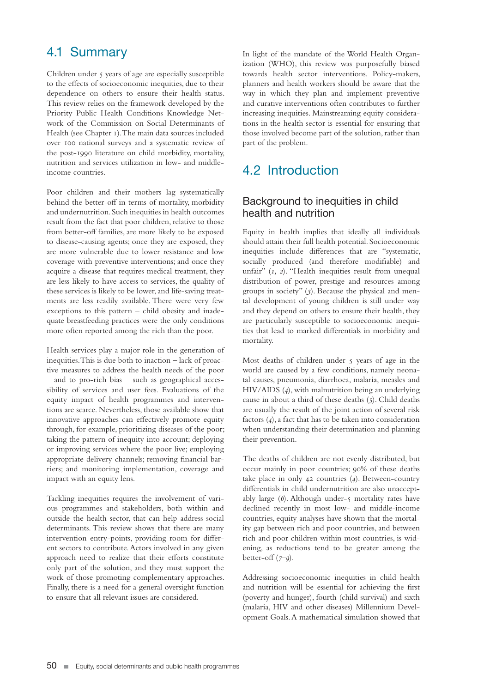Children under 5 years of age are especially susceptible to the effects of socioeconomic inequities, due to their dependence on others to ensure their health status. This review relies on the framework developed by the Priority Public Health Conditions Knowledge Network of the Commission on Social Determinants of Health (see Chapter 1). The main data sources included over 100 national surveys and a systematic review of the post-1990 literature on child morbidity, mortality, nutrition and services utilization in low- and middleincome countries.

Poor children and their mothers lag systematically behind the better-off in terms of mortality, morbidity and undernutrition. Such inequities in health outcomes result from the fact that poor children, relative to those from better-off families, are more likely to be exposed to disease-causing agents; once they are exposed, they are more vulnerable due to lower resistance and low coverage with preventive interventions; and once they acquire a disease that requires medical treatment, they are less likely to have access to services, the quality of these services is likely to be lower, and life-saving treatments are less readily available. There were very few exceptions to this pattern – child obesity and inadequate breastfeeding practices were the only conditions more often reported among the rich than the poor.

Health services play a major role in the generation of inequities. This is due both to inaction – lack of proactive measures to address the health needs of the poor – and to pro-rich bias – such as geographical accessibility of services and user fees. Evaluations of the equity impact of health programmes and interventions are scarce. Nevertheless, those available show that innovative approaches can effectively promote equity through, for example, prioritizing diseases of the poor; taking the pattern of inequity into account; deploying or improving services where the poor live; employing appropriate delivery channels; removing financial barriers; and monitoring implementation, coverage and impact with an equity lens.

Tackling inequities requires the involvement of various programmes and stakeholders, both within and outside the health sector, that can help address social determinants. This review shows that there are many intervention entry-points, providing room for different sectors to contribute. Actors involved in any given approach need to realize that their efforts constitute only part of the solution, and they must support the work of those promoting complementary approaches. Finally, there is a need for a general oversight function to ensure that all relevant issues are considered.

In light of the mandate of the World Health Organization (WHO), this review was purposefully biased towards health sector interventions. Policy-makers, planners and health workers should be aware that the way in which they plan and implement preventive and curative interventions often contributes to further increasing inequities. Mainstreaming equity considerations in the health sector is essential for ensuring that those involved become part of the solution, rather than part of the problem.

#### 4.2 Introduction

#### Background to inequities in child health and nutrition

Equity in health implies that ideally all individuals should attain their full health potential. Socioeconomic inequities include differences that are "systematic, socially produced (and therefore modifiable) and unfair" (*1, 2*). "Health inequities result from unequal distribution of power, prestige and resources among groups in society" (*3*). Because the physical and mental development of young children is still under way and they depend on others to ensure their health, they are particularly susceptible to socioeconomic inequities that lead to marked differentials in morbidity and mortality.

Most deaths of children under 5 years of age in the world are caused by a few conditions, namely neonatal causes, pneumonia, diarrhoea, malaria, measles and HIV/AIDS (*4*), with malnutrition being an underlying cause in about a third of these deaths (*5*). Child deaths are usually the result of the joint action of several risk factors (*4*), a fact that has to be taken into consideration when understanding their determination and planning their prevention.

The deaths of children are not evenly distributed, but occur mainly in poor countries; 90% of these deaths take place in only 42 countries (*4*). Between-country differentials in child undernutrition are also unacceptably large (*6*). Although under-5 mortality rates have declined recently in most low- and middle-income countries, equity analyses have shown that the mortality gap between rich and poor countries, and between rich and poor children within most countries, is widening, as reductions tend to be greater among the better-off (*7–9*).

Addressing socioeconomic inequities in child health and nutrition will be essential for achieving the first (poverty and hunger), fourth (child survival) and sixth (malaria, HIV and other diseases) Millennium Development Goals. A mathematical simulation showed that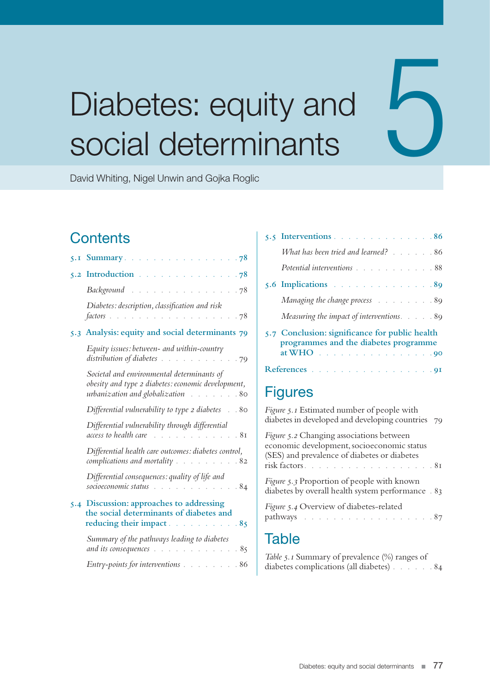### Diabetes: equity and social determinants

David Whiting, Nigel Unwin and Gojka Roglic

#### **Contents**

| 5.1 Summary.<br>and the company of the company<br>.78                                                                                                |
|------------------------------------------------------------------------------------------------------------------------------------------------------|
| $5.2$ Introduction $\ldots$ .<br>.78<br>and the company of the company                                                                               |
| Background<br>. 78                                                                                                                                   |
| Diabetes: description, classification and risk<br>factors $\ldots$<br>. 78                                                                           |
| 5.3 Analysis: equity and social determinants 79                                                                                                      |
| Equity issues: between- and within-country<br>distribution of diabetes 79                                                                            |
| Societal and environmental determinants of<br>obesity and type 2 diabetes: economic development,<br>$urbanization$ and globalization $\ldots$<br>.80 |
| Differential vulnerability to type $\alpha$ diabetes $\alpha$ . 80                                                                                   |
| Differential vulnerability through differential<br>access to health care<br><u>a componente de la componenta</u><br>. 81                             |
| Differential health care outcomes: diabetes control,<br>complications and mortality $\ldots$ 82                                                      |
| Differential consequences: quality of life and<br>socioeconomic status 84                                                                            |
| 5.4 Discussion: approaches to addressing<br>the social determinants of diabetes and<br>reducing their impact. $\ldots$ 85                            |
| Summary of the pathways leading to diabetes<br>and its consequences<br>. 85                                                                          |
| Entry-points for interventions 86                                                                                                                    |

| 5.5 Interventions 86                                                                    |
|-----------------------------------------------------------------------------------------|
| What has been tried and learned? 86                                                     |
| Potential interventions 88                                                              |
| 5.6 Implications 89                                                                     |
| Managing the change process 89                                                          |
| Measuring the impact of interventions. 89                                               |
| 5.7 Conclusion: significance for public health<br>programmes and the diabetes programme |
| at WHO $\cdots$ 90                                                                      |
| References 91                                                                           |

5

#### **Figures**

| <i>Figure 5.1</i> Estimated number of people with<br>diabetes in developed and developing countries 79                                                            |
|-------------------------------------------------------------------------------------------------------------------------------------------------------------------|
| <i>Figure 5.2</i> Changing associations between<br>economic development, socioeconomic status<br>(SES) and prevalence of diabetes or diabetes<br>risk factors. 81 |
| <i>Figure 5.3</i> Proportion of people with known<br>diabetes by overall health system performance . 83                                                           |
| Figure 5.4 Overview of diabetes-related<br>pathways 87                                                                                                            |
|                                                                                                                                                                   |

#### Table

| <i>Table 5.1</i> Summary of prevalence (%) ranges of |  |  |  |  |  |
|------------------------------------------------------|--|--|--|--|--|
| diabetes complications (all diabetes) 84             |  |  |  |  |  |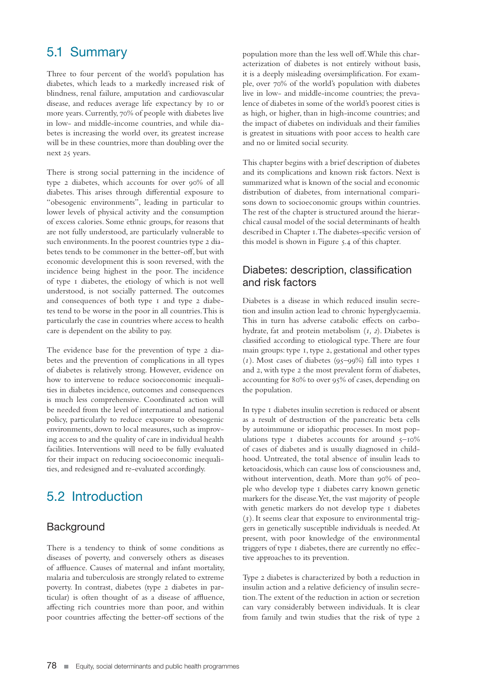Three to four percent of the world's population has diabetes, which leads to a markedly increased risk of blindness, renal failure, amputation and cardiovascular disease, and reduces average life expectancy by 10 or more years. Currently, 70% of people with diabetes live in low- and middle-income countries, and while diabetes is increasing the world over, its greatest increase will be in these countries, more than doubling over the next 25 years.

There is strong social patterning in the incidence of type 2 diabetes, which accounts for over 90% of all diabetes. This arises through differential exposure to "obesogenic environments", leading in particular to lower levels of physical activity and the consumption of excess calories. Some ethnic groups, for reasons that are not fully understood, are particularly vulnerable to such environments. In the poorest countries type 2 diabetes tends to be commoner in the better-off, but with economic development this is soon reversed, with the incidence being highest in the poor. The incidence of type 1 diabetes, the etiology of which is not well understood, is not socially patterned. The outcomes and consequences of both type 1 and type 2 diabetes tend to be worse in the poor in all countries. This is particularly the case in countries where access to health care is dependent on the ability to pay.

The evidence base for the prevention of type 2 diabetes and the prevention of complications in all types of diabetes is relatively strong. However, evidence on how to intervene to reduce socioeconomic inequalities in diabetes incidence, outcomes and consequences is much less comprehensive. Coordinated action will be needed from the level of international and national policy, particularly to reduce exposure to obesogenic environments, down to local measures, such as improving access to and the quality of care in individual health facilities. Interventions will need to be fully evaluated for their impact on reducing socioeconomic inequalities, and redesigned and re-evaluated accordingly.

#### 5.2 Introduction

#### **Background**

There is a tendency to think of some conditions as diseases of poverty, and conversely others as diseases of affluence. Causes of maternal and infant mortality, malaria and tuberculosis are strongly related to extreme poverty. In contrast, diabetes (type 2 diabetes in particular) is often thought of as a disease of affluence, affecting rich countries more than poor, and within poor countries affecting the better-off sections of the

population more than the less well off. While this characterization of diabetes is not entirely without basis, it is a deeply misleading oversimplification. For example, over 70% of the world's population with diabetes live in low- and middle-income countries; the prevalence of diabetes in some of the world's poorest cities is as high, or higher, than in high-income countries; and the impact of diabetes on individuals and their families is greatest in situations with poor access to health care and no or limited social security.

This chapter begins with a brief description of diabetes and its complications and known risk factors. Next is summarized what is known of the social and economic distribution of diabetes, from international comparisons down to socioeconomic groups within countries. The rest of the chapter is structured around the hierarchical causal model of the social determinants of health described in Chapter 1. The diabetes-specific version of this model is shown in Figure 5.4 of this chapter.

#### Diabetes: description, classification and risk factors

Diabetes is a disease in which reduced insulin secretion and insulin action lead to chronic hyperglycaemia. This in turn has adverse catabolic effects on carbohydrate, fat and protein metabolism (*1, 2*). Diabetes is classified according to etiological type. There are four main groups: type 1, type 2, gestational and other types ( $1$ ). Most cases of diabetes ( $95-99\%$ ) fall into types 1 and 2, with type 2 the most prevalent form of diabetes, accounting for 80% to over 95% of cases, depending on the population.

In type 1 diabetes insulin secretion is reduced or absent as a result of destruction of the pancreatic beta cells by autoimmune or idiopathic processes. In most populations type 1 diabetes accounts for around  $5-10\%$ of cases of diabetes and is usually diagnosed in childhood. Untreated, the total absence of insulin leads to ketoacidosis, which can cause loss of consciousness and, without intervention, death. More than 90% of people who develop type 1 diabetes carry known genetic markers for the disease. Yet, the vast majority of people with genetic markers do not develop type 1 diabetes (*3* ). It seems clear that exposure to environmental triggers in genetically susceptible individuals is needed. At present, with poor knowledge of the environmental triggers of type 1 diabetes, there are currently no effective approaches to its prevention.

Type 2 diabetes is characterized by both a reduction in insulin action and a relative deficiency of insulin secretion. The extent of the reduction in action or secretion can vary considerably between individuals. It is clear from family and twin studies that the risk of type 2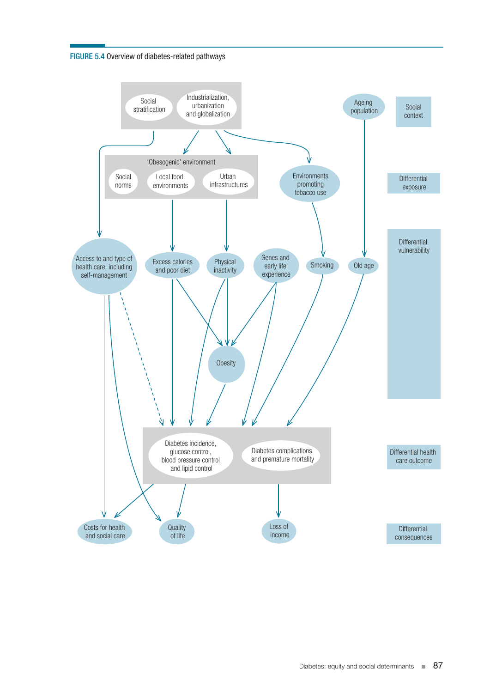

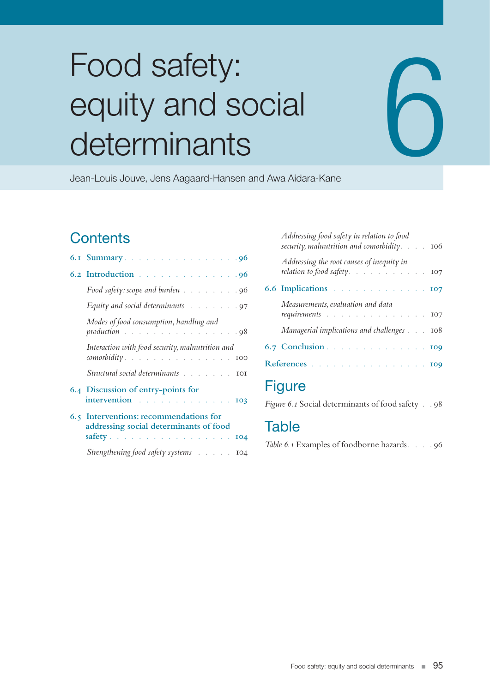### Food safety: equity and social determinants

Jean-Louis Jouve, Jens Aagaard-Hansen and Awa Aidara-Kane

#### **Contents**

| 6.2 Introduction 96                                                                             |
|-------------------------------------------------------------------------------------------------|
| Food safety: scope and burden $\ldots$ 96                                                       |
| Equity and social determinants $\ldots$ 97                                                      |
| Modes of food consumption, handling and<br>production 98                                        |
| Interaction with food security, malnutrition and<br>comorbidity. 100                            |
| Structural social determinants IOI                                                              |
| 6.4 Discussion of entry-points for<br>intervention 103                                          |
| 6.5 Interventions: recommendations for<br>addressing social determinants of food<br>safety. 104 |
| Strengthening food safety systems 104                                                           |

| Addressing food safety in relation to food<br>security, malnutrition and comorbidity. 106                                    |  |  |
|------------------------------------------------------------------------------------------------------------------------------|--|--|
| Addressing the root causes of inequity in<br><i>relation to food safety</i> $\ldots$ $\ldots$ $\ldots$ $\ldots$ $\ldots$ 107 |  |  |
| 6.6 Implications $\ldots$ $\ldots$ $\ldots$ $\ldots$ $\ldots$ $\ldots$ 107                                                   |  |  |
| Measurements, evaluation and data<br>requirements 107                                                                        |  |  |
| Managerial implications and challenges 108                                                                                   |  |  |
| 6.7 Conclusion 109                                                                                                           |  |  |
| References 109                                                                                                               |  |  |
|                                                                                                                              |  |  |

 $\bigcap$ 

#### **Figure**

*Figure 6.1* Social determinants of food safety . . 98

#### Table

Table 6.1 Examples of foodborne hazards. . . . . 96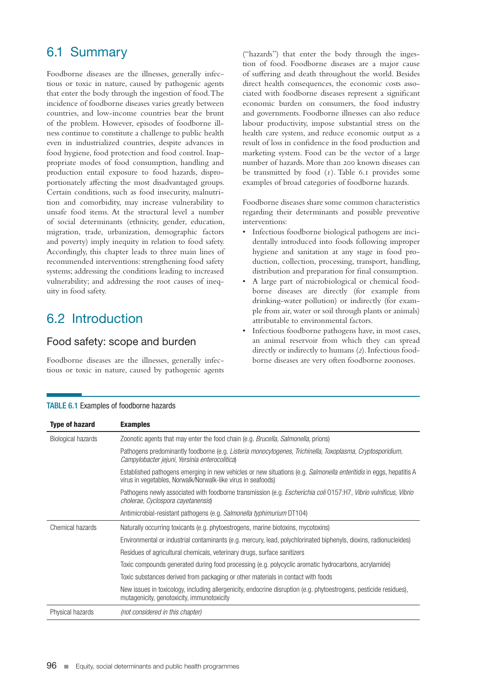Foodborne diseases are the illnesses, generally infectious or toxic in nature, caused by pathogenic agents that enter the body through the ingestion of food. The incidence of foodborne diseases varies greatly between countries, and low-income countries bear the brunt of the problem. However, episodes of foodborne illness continue to constitute a challenge to public health even in industrialized countries, despite advances in food hygiene, food protection and food control. Inappropriate modes of food consumption, handling and production entail exposure to food hazards, disproportionately affecting the most disadvantaged groups. Certain conditions, such as food insecurity, malnutrition and comorbidity, may increase vulnerability to unsafe food items. At the structural level a number of social determinants (ethnicity, gender, education, migration, trade, urbanization, demographic factors and poverty) imply inequity in relation to food safety. Accordingly, this chapter leads to three main lines of recommended interventions: strengthening food safety systems; addressing the conditions leading to increased vulnerability; and addressing the root causes of inequity in food safety.

#### 6.2 Introduction

#### Food safety: scope and burden

Foodborne diseases are the illnesses, generally infectious or toxic in nature, caused by pathogenic agents

("hazards") that enter the body through the ingestion of food. Foodborne diseases are a major cause of suffering and death throughout the world. Besides direct health consequences, the economic costs associated with foodborne diseases represent a significant economic burden on consumers, the food industry and governments. Foodborne illnesses can also reduce labour productivity, impose substantial stress on the health care system, and reduce economic output as a result of loss in confidence in the food production and marketing system. Food can be the vector of a large number of hazards. More than 200 known diseases can be transmitted by food (*1* ). Table 6.1 provides some examples of broad categories of foodborne hazards.

Foodborne diseases share some common characteristics regarding their determinants and possible preventive interventions:

- Infectious foodborne biological pathogens are incidentally introduced into foods following improper hygiene and sanitation at any stage in food production, collection, processing, transport, handling, distribution and preparation for final consumption.
- A large part of microbiological or chemical foodborne diseases are directly (for example from drinking-water pollution) or indirectly (for example from air, water or soil through plants or animals) attributable to environmental factors.
- Infectious foodborne pathogens have, in most cases, an animal reservoir from which they can spread directly or indirectly to humans (*2*). Infectious foodborne diseases are very often foodborne zoonoses.

| <b>Type of hazard</b> | <b>Examples</b>                                                                                                                                                                    |
|-----------------------|------------------------------------------------------------------------------------------------------------------------------------------------------------------------------------|
| Biological hazards    | Zoonotic agents that may enter the food chain (e.g. <i>Brucella, Salmonella</i> , prions)                                                                                          |
|                       | Pathogens predominantly foodborne (e.g. Listeria monocytogenes, Trichinella, Toxoplasma, Cryptosporidium,<br>Campylobacter jejuni, Yersinia enterocolitica)                        |
|                       | Established pathogens emerging in new vehicles or new situations (e.g. Salmonella enteritidis in eggs, hepatitis A<br>virus in vegetables, Norwalk/Norwalk-like virus in seafoods) |
|                       | Pathogens newly associated with foodborne transmission (e.g. <i>Escherichia coli</i> 0157:H7, <i>Vibrio vulnificus, Vibrio</i><br>cholerae, Cyclospora cayetanensis)               |
|                       | Antimicrobial-resistant pathogens (e.g. Salmonella typhimurium DT104)                                                                                                              |
| Chemical hazards      | Naturally occurring toxicants (e.g. phytoestrogens, marine biotoxins, mycotoxins)                                                                                                  |
|                       | Environmental or industrial contaminants (e.g. mercury, lead, polychlorinated biphenyls, dioxins, radionucleides)                                                                  |
|                       | Residues of agricultural chemicals, veterinary drugs, surface sanitizers                                                                                                           |
|                       | Toxic compounds generated during food processing (e.g. polycyclic aromatic hydrocarbons, acrylamide)                                                                               |
|                       | Toxic substances derived from packaging or other materials in contact with foods                                                                                                   |
|                       | New issues in toxicology, including allergenicity, endocrine disruption (e.g. phytoestrogens, pesticide residues),<br>mutagenicity, genotoxicity, immunotoxicity                   |
| Physical hazards      | (not considered in this chapter)                                                                                                                                                   |

#### TABLE 6.1 Examples of foodborne hazards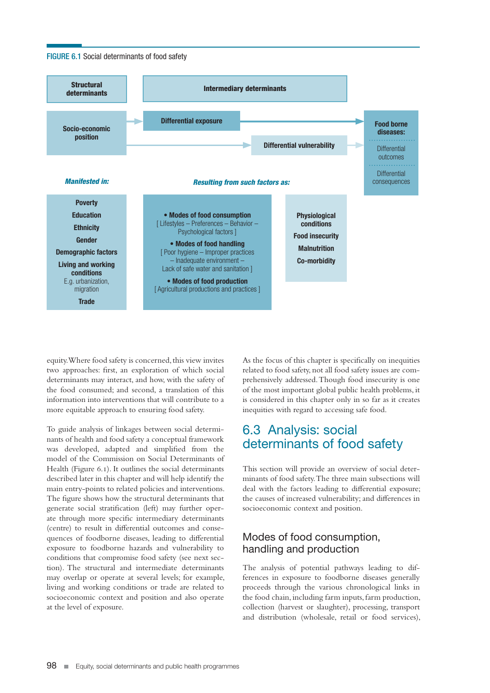#### FIGURE 6.1 Social determinants of food safety



equity. Where food safety is concerned, this view invites two approaches: first, an exploration of which social determinants may interact, and how, with the safety of the food consumed; and second, a translation of this information into interventions that will contribute to a more equitable approach to ensuring food safety.

To guide analysis of linkages between social determinants of health and food safety a conceptual framework was developed, adapted and simplified from the model of the Commission on Social Determinants of Health (Figure 6.1). It outlines the social determinants described later in this chapter and will help identify the main entry-points to related policies and interventions. The figure shows how the structural determinants that generate social stratification (left) may further operate through more specific intermediary determinants (centre) to result in differential outcomes and consequences of foodborne diseases, leading to differential exposure to foodborne hazards and vulnerability to conditions that compromise food safety (see next section). The structural and intermediate determinants may overlap or operate at several levels; for example, living and working conditions or trade are related to socioeconomic context and position and also operate at the level of exposure.

As the focus of this chapter is specifically on inequities related to food safety, not all food safety issues are comprehensively addressed. Though food insecurity is one of the most important global public health problems, it is considered in this chapter only in so far as it creates inequities with regard to accessing safe food.

#### 6.3 Analysis: social determinants of food safety

This section will provide an overview of social determinants of food safety. The three main subsections will deal with the factors leading to differential exposure; the causes of increased vulnerability; and differences in socioeconomic context and position.

#### Modes of food consumption, handling and production

The analysis of potential pathways leading to differences in exposure to foodborne diseases generally proceeds through the various chronological links in the food chain, including farm inputs, farm production, collection (harvest or slaughter), processing, transport and distribution (wholesale, retail or food services),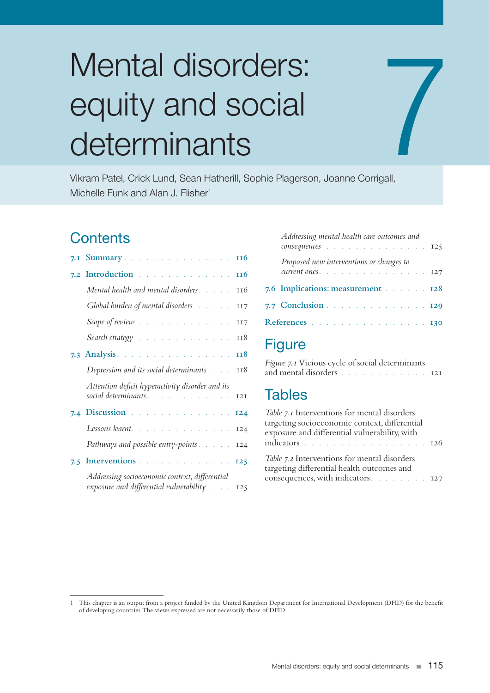### Mental disorders: equity and social determinants

Vikram Patel, Crick Lund, Sean Hatherill, Sophie Plagerson, Joanne Corrigall, 7 Michelle Funk and Alan J. Flisher<sup>1</sup>

#### **Contents**

|     | 7.2 Introduction 116                                         |     |
|-----|--------------------------------------------------------------|-----|
|     | Mental health and mental disorders. 116                      |     |
|     | Global burden of mental disorders $\ldots$ $\ldots$ $\ldots$ |     |
|     | Scope of review $\cdots$ $\cdots$ $\cdots$ $\cdots$          | II7 |
|     | Search strategy 118                                          |     |
|     | 7.3 Analysis. 118                                            |     |
|     | Depression and its social determinants 118                   |     |
|     | Attention deficit hyperactivity disorder and its             |     |
|     | social determinants. 121                                     |     |
|     | 7.4 Discussion 124                                           |     |
|     | Lessons learnt. 124                                          |     |
|     | Pathways and possible entry-points124                        |     |
| 7.5 | Interventions 125                                            |     |
|     | Addressing socioeconomic context, differential               |     |
|     | exposure and differential vulnerability $\ldots$ 125         |     |

| Addressing mental health care outcomes and<br>consequences $\ldots$ $\ldots$ $\ldots$ $\ldots$ $\ldots$ $\ldots$ $\ldots$ $\ldots$         |  |
|--------------------------------------------------------------------------------------------------------------------------------------------|--|
| Proposed new interventions or changes to<br>current ones. $\ldots$ $\ldots$ $\ldots$ $\ldots$ $\ldots$ $\ldots$ $\ldots$ $\ldots$ $\ldots$ |  |
| 7.6 Implications: measurement 128                                                                                                          |  |
| 7.7 Conclusion 129                                                                                                                         |  |
| References 130                                                                                                                             |  |
|                                                                                                                                            |  |

#### **Figure**

*Figure 7.1* Vicious cycle of social determinants and mental disorders . . . . . . . . . . . . 121

#### **Tables**

| Table 7.1 Interventions for mental disorders                                                                                     |  |
|----------------------------------------------------------------------------------------------------------------------------------|--|
| targeting socioeconomic context, differential                                                                                    |  |
| exposure and differential vulnerability, with                                                                                    |  |
| indicators 126                                                                                                                   |  |
| Table 7.2 Interventions for mental disorders<br>targeting differential health outcomes and<br>consequences, with indicators. 127 |  |

<sup>1</sup> This chapter is an output from a project funded by the United Kingdom Department for International Development (DFID) for the benefit of developing countries. The views expressed are not necessarily those of DFID.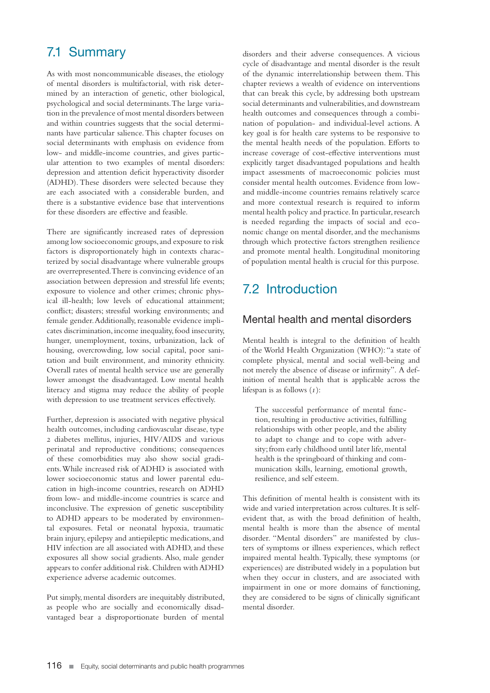As with most noncommunicable diseases, the etiology of mental disorders is multifactorial, with risk determined by an interaction of genetic, other biological, psychological and social determinants. The large variation in the prevalence of most mental disorders between and within countries suggests that the social determinants have particular salience. This chapter focuses on social determinants with emphasis on evidence from low- and middle-income countries, and gives particular attention to two examples of mental disorders: depression and attention deficit hyperactivity disorder (ADHD). These disorders were selected because they are each associated with a considerable burden, and there is a substantive evidence base that interventions for these disorders are effective and feasible.

There are significantly increased rates of depression among low socioeconomic groups, and exposure to risk factors is disproportionately high in contexts characterized by social disadvantage where vulnerable groups are overrepresented. There is convincing evidence of an association between depression and stressful life events; exposure to violence and other crimes; chronic physical ill-health; low levels of educational attainment; conflict; disasters; stressful working environments; and female gender. Additionally, reasonable evidence implicates discrimination, income inequality, food insecurity, hunger, unemployment, toxins, urbanization, lack of housing, overcrowding, low social capital, poor sanitation and built environment, and minority ethnicity. Overall rates of mental health service use are generally lower amongst the disadvantaged. Low mental health literacy and stigma may reduce the ability of people with depression to use treatment services effectively.

Further, depression is associated with negative physical health outcomes, including cardiovascular disease, type 2 diabetes mellitus, injuries, HIV/AIDS and various perinatal and reproductive conditions; consequences of these comorbidities may also show social gradients. While increased risk of ADHD is associated with lower socioeconomic status and lower parental education in high-income countries, research on ADHD from low- and middle-income countries is scarce and inconclusive. The expression of genetic susceptibility to ADHD appears to be moderated by environmental exposures. Fetal or neonatal hypoxia, traumatic brain injury, epilepsy and antiepileptic medications, and HIV infection are all associated with ADHD, and these exposures all show social gradients. Also, male gender appears to confer additional risk. Children with ADHD experience adverse academic outcomes.

Put simply, mental disorders are inequitably distributed, as people who are socially and economically disadvantaged bear a disproportionate burden of mental disorders and their adverse consequences. A vicious cycle of disadvantage and mental disorder is the result of the dynamic interrelationship between them. This chapter reviews a wealth of evidence on interventions that can break this cycle, by addressing both upstream social determinants and vulnerabilities, and downstream health outcomes and consequences through a combination of population- and individual-level actions. A key goal is for health care systems to be responsive to the mental health needs of the population. Efforts to increase coverage of cost-effective interventions must explicitly target disadvantaged populations and health impact assessments of macroeconomic policies must consider mental health outcomes. Evidence from lowand middle-income countries remains relatively scarce and more contextual research is required to inform mental health policy and practice. In particular, research is needed regarding the impacts of social and economic change on mental disorder, and the mechanisms through which protective factors strengthen resilience and promote mental health. Longitudinal monitoring of population mental health is crucial for this purpose.

#### 7.2 Introduction

#### Mental health and mental disorders

Mental health is integral to the definition of health of the World Health Organization (WHO): "a state of complete physical, mental and social well-being and not merely the absence of disease or infirmity". A definition of mental health that is applicable across the lifespan is as follows (*1* ):

The successful performance of mental function, resulting in productive activities, fulfilling relationships with other people, and the ability to adapt to change and to cope with adversity; from early childhood until later life, mental health is the springboard of thinking and communication skills, learning, emotional growth, resilience, and self esteem.

This definition of mental health is consistent with its wide and varied interpretation across cultures. It is selfevident that, as with the broad definition of health, mental health is more than the absence of mental disorder. "Mental disorders" are manifested by clusters of symptoms or illness experiences, which reflect impaired mental health. Typically, these symptoms (or experiences) are distributed widely in a population but when they occur in clusters, and are associated with impairment in one or more domains of functioning, they are considered to be signs of clinically significant mental disorder.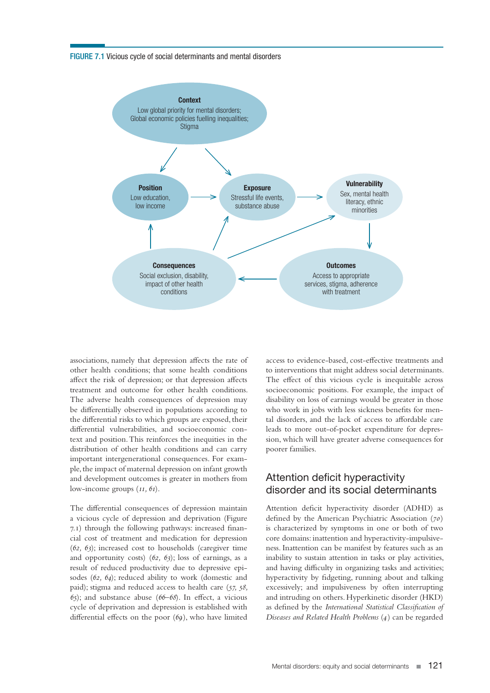#### FIGURE 7.1 Vicious cycle of social determinants and mental disorders



associations, namely that depression affects the rate of other health conditions; that some health conditions affect the risk of depression; or that depression affects treatment and outcome for other health conditions. The adverse health consequences of depression may be differentially observed in populations according to the differential risks to which groups are exposed, their differential vulnerabilities, and socioeconomic context and position. This reinforces the inequities in the distribution of other health conditions and can carry important intergenerational consequences. For example, the impact of maternal depression on infant growth and development outcomes is greater in mothers from low-income groups (*11, 61*).

The differential consequences of depression maintain a vicious cycle of depression and deprivation (Figure 7.1) through the following pathways: increased financial cost of treatment and medication for depression (*62, 63*); increased cost to households (caregiver time and opportunity costs) (*62, 63*); loss of earnings, as a result of reduced productivity due to depressive episodes (*62, 64*); reduced ability to work (domestic and paid); stigma and reduced access to health care (*57, 58, 65*); and substance abuse (*66–68*). In effect, a vicious cycle of deprivation and depression is established with differential effects on the poor (*69* ), who have limited access to evidence-based, cost-effective treatments and to interventions that might address social determinants. The effect of this vicious cycle is inequitable across socioeconomic positions. For example, the impact of disability on loss of earnings would be greater in those who work in jobs with less sickness benefits for mental disorders, and the lack of access to affordable care leads to more out-of-pocket expenditure for depression, which will have greater adverse consequences for poorer families.

#### Attention deficit hyperactivity disorder and its social determinants

Attention deficit hyperactivity disorder (ADHD) as defined by the American Psychiatric Association (*70* ) is characterized by symptoms in one or both of two core domains: inattention and hyperactivity-impulsiveness. Inattention can be manifest by features such as an inability to sustain attention in tasks or play activities, and having difficulty in organizing tasks and activities; hyperactivity by fidgeting, running about and talking excessively; and impulsiveness by often interrupting and intruding on others. Hyperkinetic disorder (HKD) as defined by the *International Statistical Classification of Diseases and Related Health Problems* (*4* ) can be regarded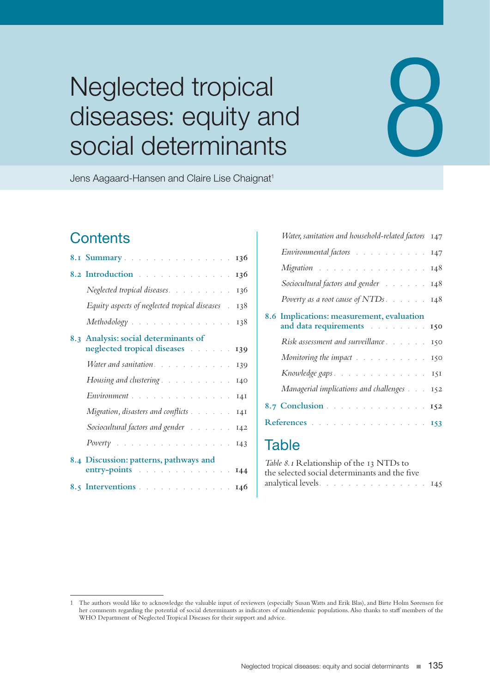### Neglected tropical diseases: equity and social determinants



Jens Aagaard-Hansen and Claire Lise Chaignat 1

#### **Contents**

| 8.1 Summary 136                                                         |     |
|-------------------------------------------------------------------------|-----|
| 8.2 Introduction 136                                                    |     |
| Neglected tropical diseases. 136                                        |     |
| Equity aspects of neglected tropical diseases .                         | 138 |
| $Methodology$ 138                                                       |     |
| 8.3 Analysis: social determinants of<br>neglected tropical diseases 139 |     |
| Water and sanitation. $\ldots$ . $\ldots$ . $\ldots$ . $\ldots$ 139     |     |
| Housing and clustering. 140                                             |     |
| Environment 141                                                         |     |
| Migration, disasters and conflicts 141                                  |     |
| Sociocultural factors and gender 142                                    |     |
| Poverty 143                                                             |     |
| 8.4 Discussion: patterns, pathways and<br>entry-points 144              |     |
| 8.5 Interventions 146                                                   |     |

| References 153 |  |  |                                                                                                                                                                                                                                                                                                                                                                                                                                             |  |
|----------------|--|--|---------------------------------------------------------------------------------------------------------------------------------------------------------------------------------------------------------------------------------------------------------------------------------------------------------------------------------------------------------------------------------------------------------------------------------------------|--|
|                |  |  | Water, sanitation and household-related factors 147<br>Environmental factors 147<br>Migration 148<br>Sociocultural factors and gender 148<br>Poverty as a root cause of NTDs. $\ldots$ $\ldots$ 148<br>8.6 Implications: measurement, evaluation<br>and data requirements 150<br>Risk assessment and surveillance. 150<br>Monitoring the impact 150<br>Knowledge gaps51<br>Managerial implications and challenges 152<br>8.7 Conclusion 152 |  |

#### **Table**

| Table 8.1 Relationship of the 13 NTDs to      |  |  |  |  |  |  |  |  |
|-----------------------------------------------|--|--|--|--|--|--|--|--|
| the selected social determinants and the five |  |  |  |  |  |  |  |  |
| analytical levels. 145                        |  |  |  |  |  |  |  |  |

<sup>1</sup> The authors would like to acknowledge the valuable input of reviewers (especially Susan Watts and Erik Blas), and Birte Holm Sørensen for her comments regarding the potential of social determinants as indicators of multiendemic populations. Also thanks to staff members of the WHO Department of Neglected Tropical Diseases for their support and advice.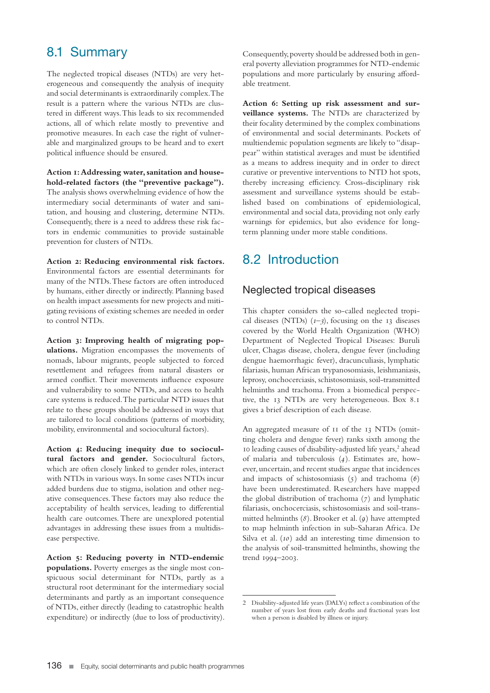The neglected tropical diseases (NTDs) are very heterogeneous and consequently the analysis of inequity and social determinants is extraordinarily complex. The result is a pattern where the various NTDs are clustered in different ways. This leads to six recommended actions, all of which relate mostly to preventive and promotive measures. In each case the right of vulnerable and marginalized groups to be heard and to exert political influence should be ensured.

**Action 1: Addressing water, sanitation and household-related factors (the "preventive package").** The analysis shows overwhelming evidence of how the intermediary social determinants of water and sanitation, and housing and clustering, determine NTDs. Consequently, there is a need to address these risk factors in endemic communities to provide sustainable prevention for clusters of NTDs.

**Action 2: Reducing environmental risk factors.**  Environmental factors are essential determinants for many of the NTDs. These factors are often introduced by humans, either directly or indirectly. Planning based on health impact assessments for new projects and mitigating revisions of existing schemes are needed in order to control NTDs.

**Action 3: Improving health of migrating populations.** Migration encompasses the movements of nomads, labour migrants, people subjected to forced resettlement and refugees from natural disasters or armed conflict. Their movements influence exposure and vulnerability to some NTDs, and access to health care systems is reduced. The particular NTD issues that relate to these groups should be addressed in ways that are tailored to local conditions (patterns of morbidity, mobility, environmental and sociocultural factors).

**Action 4: Reducing inequity due to sociocultural factors and gender.** Sociocultural factors, which are often closely linked to gender roles, interact with NTDs in various ways. In some cases NTDs incur added burdens due to stigma, isolation and other negative consequences. These factors may also reduce the acceptability of health services, leading to differential health care outcomes. There are unexplored potential advantages in addressing these issues from a multidisease perspective.

**Action 5: Reducing poverty in NTD-endemic populations.** Poverty emerges as the single most conspicuous social determinant for NTDs, partly as a structural root determinant for the intermediary social determinants and partly as an important consequence of NTDs, either directly (leading to catastrophic health expenditure) or indirectly (due to loss of productivity).

Consequently, poverty should be addressed both in general poverty alleviation programmes for NTD-endemic populations and more particularly by ensuring affordable treatment.

**Action 6: Setting up risk assessment and surveillance systems.** The NTDs are characterized by their focality determined by the complex combinations of environmental and social determinants. Pockets of multiendemic population segments are likely to "disappear" within statistical averages and must be identified as a means to address inequity and in order to direct curative or preventive interventions to NTD hot spots, thereby increasing efficiency. Cross-disciplinary risk assessment and surveillance systems should be established based on combinations of epidemiological, environmental and social data, providing not only early warnings for epidemics, but also evidence for longterm planning under more stable conditions.

#### 8.2 Introduction

#### Neglected tropical diseases

This chapter considers the so-called neglected tropical diseases (NTDs)  $(1-3)$ , focusing on the 13 diseases covered by the World Health Organization (WHO) Department of Neglected Tropical Diseases: Buruli ulcer, Chagas disease, cholera, dengue fever (including dengue haemorrhagic fever), dracunculiasis, lymphatic filariasis, human African trypanosomiasis, leishmaniasis, leprosy, onchocerciasis, schistosomiasis, soil-transmitted helminths and trachoma. From a biomedical perspective, the 13 NTDs are very heterogeneous. Box 8.1 gives a brief description of each disease.

An aggregated measure of 11 of the 13 NTDs (omitting cholera and dengue fever) ranks sixth among the 10 leading causes of disability-adjusted life years,<sup>2</sup> ahead of malaria and tuberculosis (*4* ). Estimates are, however, uncertain, and recent studies argue that incidences and impacts of schistosomiasis (*5* ) and trachoma (*6* ) have been underestimated. Researchers have mapped the global distribution of trachoma (*7* ) and lymphatic filariasis, onchocerciasis, schistosomiasis and soil-transmitted helminths (*8* ). Brooker et al. (*9* ) have attempted to map helminth infection in sub-Saharan Africa. De Silva et al. (*10*) add an interesting time dimension to the analysis of soil-transmitted helminths, showing the trend 1994–2003.

<sup>2</sup> Disability-adjusted life years (DALYs) reflect a combination of the number of years lost from early deaths and fractional years lost when a person is disabled by illness or injury.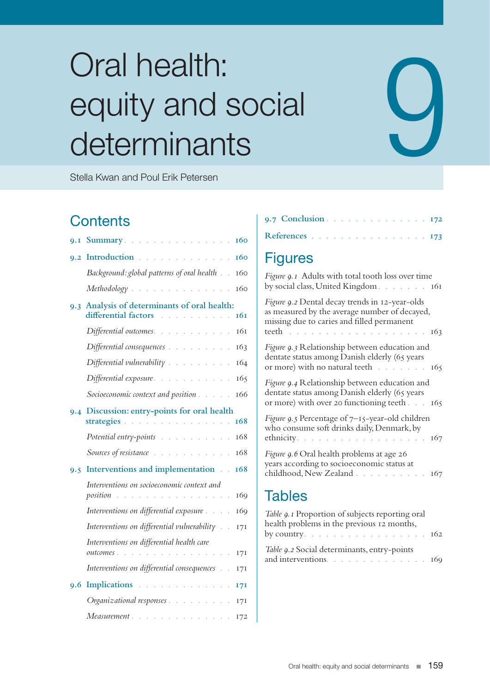### Oral health: equity and social determinants



Stella Kwan and Poul Erik Petersen

#### **Contents**

| 9.1 | Summary. 160                                                                                                                                  |       |
|-----|-----------------------------------------------------------------------------------------------------------------------------------------------|-------|
| 9.2 | Introduction                                                                                                                                  | 160   |
|     | Background: global patterns of oral health                                                                                                    | 160   |
|     | Methodology                                                                                                                                   | 160   |
| 9.3 | Analysis of determinants of oral health:<br>differential factors<br>and the contract of the con-                                              | 161   |
|     | Differential outcomes.                                                                                                                        | 161   |
|     | Differential consequences                                                                                                                     | 163   |
|     | $\text{Differential } \text{vilinearability}$                                                                                                 | 164   |
|     | $\text{Differential exposure.}$                                                                                                               | 165   |
|     | Socioeconomic context and position                                                                                                            | 166   |
|     | 9.4 Discussion: entry-points for oral health<br>strategies.<br>and a series of the contract of the series                                     | 168   |
|     | Potential entry-points                                                                                                                        | 168   |
|     | Sources of resistance                                                                                                                         | - 168 |
|     | 9.5 Interventions and implementation                                                                                                          | 168   |
|     | Interventions on socioeconomic context and<br>position<br>$\mathcal{A}$ , and the set of the set of the set of the set of $\mathcal{A}$<br>÷. | 169   |
|     | Interventions on differential exposure                                                                                                        | 169   |
|     | Interventions on differential vulnerability $\ldots$                                                                                          | 171   |
|     | Interventions on differential health care<br>outcomes.<br>and the second contract of the second con-                                          | 171   |
|     | Interventions on differential consequences.                                                                                                   | 171   |
| 9.6 | Implications                                                                                                                                  | 17I   |
|     | Organizational responses                                                                                                                      | 171   |
|     | $Measurement \dots \dots \dots \dots \dots \dots \dots$                                                                                       | 172   |

| 9.7 Conclusion 172 |  |  |  |  |  |  |  |
|--------------------|--|--|--|--|--|--|--|
| References 173     |  |  |  |  |  |  |  |

#### **Figures**

| <i>Figure 9.1</i> Adults with total tooth loss over time<br>by social class, United Kingdom.<br>161                                                  |
|------------------------------------------------------------------------------------------------------------------------------------------------------|
| <i>Figure 9.2</i> Dental decay trends in 12-year-olds<br>as measured by the average number of decayed,<br>missing due to caries and filled permanent |
| <i>Figure 9.3</i> Relationship between education and<br>dentate status among Danish elderly (65 years<br>or more) with no natural teeth 165          |
| Figure 9.4 Relationship between education and<br>dentate status among Danish elderly (65 years<br>or more) with over 20 functioning teeth 165        |
| Figure 9.5 Percentage of $7-15$ -year-old children<br>who consume soft drinks daily, Denmark, by<br>ethnicity. 167                                   |
| <i>Figure 9.6</i> Oral health problems at age 26<br>years according to socioeconomic status at<br>childhood, New Zealand<br>167                      |

#### **Tables**

| Table 9.1 Proportion of subjects reporting oral<br>health problems in the previous 12 months, |  |
|-----------------------------------------------------------------------------------------------|--|
| by country. $\ldots$ 162                                                                      |  |
| Table 9.2 Social determinants, entry-points                                                   |  |
| and interventions. 169                                                                        |  |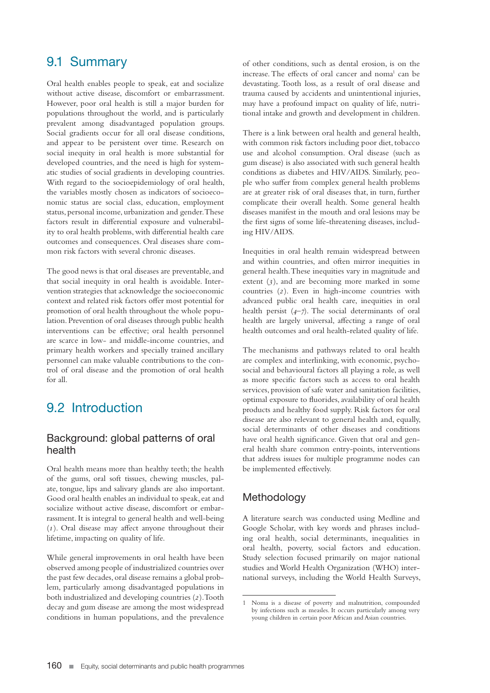Oral health enables people to speak, eat and socialize without active disease, discomfort or embarrassment. However, poor oral health is still a major burden for populations throughout the world, and is particularly prevalent among disadvantaged population groups. Social gradients occur for all oral disease conditions, and appear to be persistent over time. Research on social inequity in oral health is more substantial for developed countries, and the need is high for systematic studies of social gradients in developing countries. With regard to the socioepidemiology of oral health, the variables mostly chosen as indicators of socioeconomic status are social class, education, employment status, personal income, urbanization and gender. These factors result in differential exposure and vulnerability to oral health problems, with differential health care outcomes and consequences. Oral diseases share common risk factors with several chronic diseases.

The good news is that oral diseases are preventable, and that social inequity in oral health is avoidable. Intervention strategies that acknowledge the socioeconomic context and related risk factors offer most potential for promotion of oral health throughout the whole population. Prevention of oral diseases through public health interventions can be effective; oral health personnel are scarce in low- and middle-income countries, and primary health workers and specially trained ancillary personnel can make valuable contributions to the control of oral disease and the promotion of oral health for all.

#### 9.2 Introduction

#### Background: global patterns of oral health

Oral health means more than healthy teeth; the health of the gums, oral soft tissues, chewing muscles, palate, tongue, lips and salivary glands are also important. Good oral health enables an individual to speak, eat and socialize without active disease, discomfort or embarrassment. It is integral to general health and well-being (*1* ). Oral disease may affect anyone throughout their lifetime, impacting on quality of life.

While general improvements in oral health have been observed among people of industrialized countries over the past few decades, oral disease remains a global problem, particularly among disadvantaged populations in both industrialized and developing countries (*2* ). Tooth decay and gum disease are among the most widespread conditions in human populations, and the prevalence

of other conditions, such as dental erosion, is on the increase. The effects of oral cancer and noma<sup>1</sup> can be devastating. Tooth loss, as a result of oral disease and trauma caused by accidents and unintentional injuries, may have a profound impact on quality of life, nutritional intake and growth and development in children.

There is a link between oral health and general health, with common risk factors including poor diet, tobacco use and alcohol consumption. Oral disease (such as gum disease) is also associated with such general health conditions as diabetes and HIV/AIDS. Similarly, people who suffer from complex general health problems are at greater risk of oral diseases that, in turn, further complicate their overall health. Some general health diseases manifest in the mouth and oral lesions may be the first signs of some life-threatening diseases, including HIV/AIDS.

Inequities in oral health remain widespread between and within countries, and often mirror inequities in general health. These inequities vary in magnitude and extent (*3* ), and are becoming more marked in some countries (*2* ). Even in high-income countries with advanced public oral health care, inequities in oral health persist (*4–7*). The social determinants of oral health are largely universal, affecting a range of oral health outcomes and oral health-related quality of life.

The mechanisms and pathways related to oral health are complex and interlinking, with economic, psychosocial and behavioural factors all playing a role, as well as more specific factors such as access to oral health services, provision of safe water and sanitation facilities, optimal exposure to fluorides, availability of oral health products and healthy food supply. Risk factors for oral disease are also relevant to general health and, equally, social determinants of other diseases and conditions have oral health significance. Given that oral and general health share common entry-points, interventions that address issues for multiple programme nodes can be implemented effectively.

#### Methodology

A literature search was conducted using Medline and Google Scholar, with key words and phrases including oral health, social determinants, inequalities in oral health, poverty, social factors and education. Study selection focused primarily on major national studies and World Health Organization (WHO) international surveys, including the World Health Surveys,

<sup>1</sup> Noma is a disease of poverty and malnutrition, compounded by infections such as measles. It occurs particularly among very young children in certain poor African and Asian countries.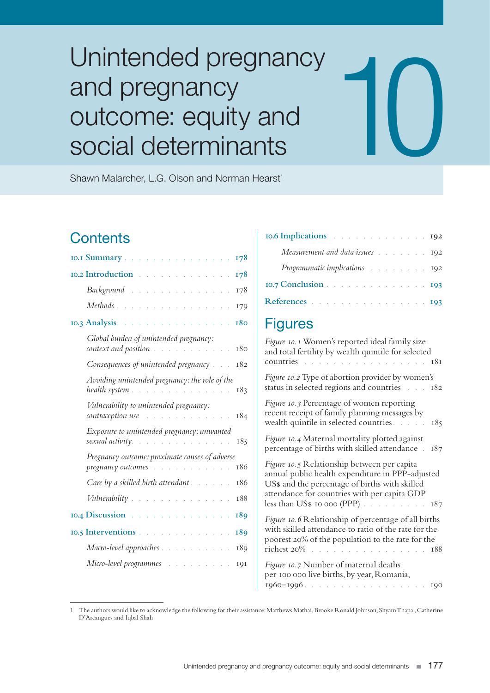### Unintended pregnancy and pregnancy outcome: equity and social determinants

10

Shawn Malarcher, L.G. Olson and Norman Hearst 1

#### **Contents**

| IO.I Summary.<br>and the contract of the contract of<br>178<br>٠.                                                                                                                                                                                                               |
|---------------------------------------------------------------------------------------------------------------------------------------------------------------------------------------------------------------------------------------------------------------------------------|
| 10.2 Introduction<br>178                                                                                                                                                                                                                                                        |
| Background<br>178                                                                                                                                                                                                                                                               |
| Methods $\ldots$<br>and the contract of the con-<br>179                                                                                                                                                                                                                         |
| 10.3 Analysis.<br>and the second contract of the second<br>180<br>٠.<br>- 1<br>$\sim$                                                                                                                                                                                           |
| Global burden of unintended pregnancy:<br>context and position $\ldots$<br>180                                                                                                                                                                                                  |
| Consequences of unintended pregnancy<br>182                                                                                                                                                                                                                                     |
| Avoiding unintended pregnancy: the role of the<br>health system $\ldots$<br>183                                                                                                                                                                                                 |
| Vulnerability to unintended pregnancy:<br>contraception use reading the contraception use of the contract of the contract of the contract of the contract of the contract of the contract of the contract of the contract of the contract of the contract of the contrac<br>184 |
| Exposure to unintended pregnancy: unwanted<br>sexual activity.<br>185                                                                                                                                                                                                           |
| Pregnancy outcome: proximate causes of adverse                                                                                                                                                                                                                                  |
| pregnancy outcomes<br>186                                                                                                                                                                                                                                                       |
| Care by a skilled birth attendant $\ldots$ .<br>186                                                                                                                                                                                                                             |
| Vulnerability<br>188<br>$\sim$                                                                                                                                                                                                                                                  |
| 10.4 Discussion.<br>and the company of the company<br>189                                                                                                                                                                                                                       |
| $\overline{10.5}$ Interventions<br>189                                                                                                                                                                                                                                          |
| Macro-level approaches<br>189                                                                                                                                                                                                                                                   |
| Micro-level programmes<br>191<br>and the state                                                                                                                                                                                                                                  |
|                                                                                                                                                                                                                                                                                 |

| 10.6 Implications 192           |  |  |  |  |
|---------------------------------|--|--|--|--|
| Measurement and data issues 192 |  |  |  |  |
| Programmatic implications 192   |  |  |  |  |
| 10.7 Conclusion 193             |  |  |  |  |
| References 193                  |  |  |  |  |

#### **Figures**

| 180<br>T82                      | Figure 10.1 Women's reported ideal family size<br>and total fertility by wealth quintile for selected<br>countries<br>. . т8т<br>.                                                                                                                                  |
|---------------------------------|---------------------------------------------------------------------------------------------------------------------------------------------------------------------------------------------------------------------------------------------------------------------|
| 183                             | Figure 10.2 Type of abortion provider by women's<br>status in selected regions and countries 182                                                                                                                                                                    |
| 184                             | Figure 10.3 Percentage of women reporting<br>recent receipt of family planning messages by<br>wealth quintile in selected countries.<br>185                                                                                                                         |
| 185                             | Figure 10.4 Maternal mortality plotted against<br>percentage of births with skilled attendance.<br>187                                                                                                                                                              |
| <b>186</b><br>186<br><b>T88</b> | Figure 10.5 Relationship between per capita<br>annual public health expenditure in PPP-adjusted<br>US\$ and the percentage of births with skilled<br>attendance for countries with per capita GDP<br>less than $US\$ 10 000 (PPP) $\ldots$ $\ldots$ $\ldots$<br>187 |
| 189<br>189<br>189               | <i>Figure 10.6</i> Relationship of percentage of all births<br>with skilled attendance to ratio of the rate for the<br>poorest 20% of the population to the rate for the<br>richest 20%<br>T88                                                                      |
| 191                             | Figure 10.7 Number of maternal deaths<br>per 100 000 live births, by year, Romania,<br>$1960 - 1996$ .<br><u>.</u><br>100                                                                                                                                           |

1 The authors would like to acknowledge the following for their assistance: Matthews Mathai, Brooke Ronald Johnson, Shyam Thapa , Catherine D'Arcangues and Iqbal Shah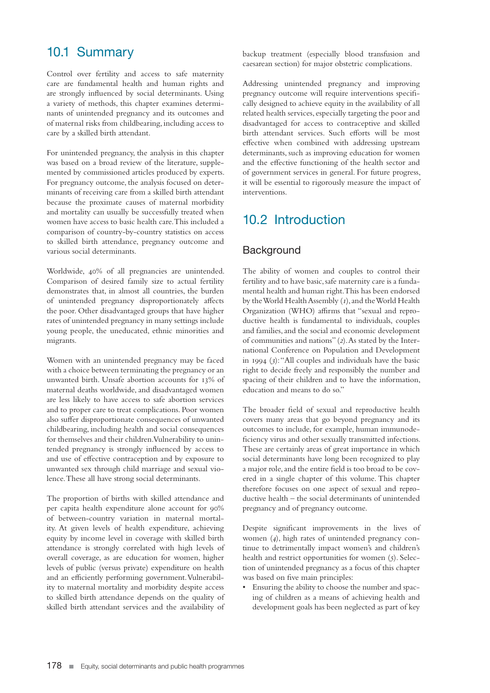Control over fertility and access to safe maternity care are fundamental health and human rights and are strongly influenced by social determinants. Using a variety of methods, this chapter examines determinants of unintended pregnancy and its outcomes and of maternal risks from childbearing, including access to care by a skilled birth attendant.

For unintended pregnancy, the analysis in this chapter was based on a broad review of the literature, supplemented by commissioned articles produced by experts. For pregnancy outcome, the analysis focused on determinants of receiving care from a skilled birth attendant because the proximate causes of maternal morbidity and mortality can usually be successfully treated when women have access to basic health care. This included a comparison of country-by-country statistics on access to skilled birth attendance, pregnancy outcome and various social determinants.

Worldwide, 40% of all pregnancies are unintended. Comparison of desired family size to actual fertility demonstrates that, in almost all countries, the burden of unintended pregnancy disproportionately affects the poor. Other disadvantaged groups that have higher rates of unintended pregnancy in many settings include young people, the uneducated, ethnic minorities and migrants.

Women with an unintended pregnancy may be faced with a choice between terminating the pregnancy or an unwanted birth. Unsafe abortion accounts for 13% of maternal deaths worldwide, and disadvantaged women are less likely to have access to safe abortion services and to proper care to treat complications. Poor women also suffer disproportionate consequences of unwanted childbearing, including health and social consequences for themselves and their children. Vulnerability to unintended pregnancy is strongly influenced by access to and use of effective contraception and by exposure to unwanted sex through child marriage and sexual violence. These all have strong social determinants.

The proportion of births with skilled attendance and per capita health expenditure alone account for 90% of between-country variation in maternal mortality. At given levels of health expenditure, achieving equity by income level in coverage with skilled birth attendance is strongly correlated with high levels of overall coverage, as are education for women, higher levels of public (versus private) expenditure on health and an efficiently performing government. Vulnerability to maternal mortality and morbidity despite access to skilled birth attendance depends on the quality of skilled birth attendant services and the availability of backup treatment (especially blood transfusion and caesarean section) for major obstetric complications.

Addressing unintended pregnancy and improving pregnancy outcome will require interventions specifically designed to achieve equity in the availability of all related health services, especially targeting the poor and disadvantaged for access to contraceptive and skilled birth attendant services. Such efforts will be most effective when combined with addressing upstream determinants, such as improving education for women and the effective functioning of the health sector and of government services in general. For future progress, it will be essential to rigorously measure the impact of interventions.

#### 10.2 Introduction

#### **Background**

The ability of women and couples to control their fertility and to have basic, safe maternity care is a fundamental health and human right. This has been endorsed by the World Health Assembly (*1*), and the World Health Organization (WHO) affirms that "sexual and reproductive health is fundamental to individuals, couples and families, and the social and economic development of communities and nations" (*2*). As stated by the International Conference on Population and Development in 1994 (*3*): "All couples and individuals have the basic right to decide freely and responsibly the number and spacing of their children and to have the information, education and means to do so."

The broader field of sexual and reproductive health covers many areas that go beyond pregnancy and its outcomes to include, for example, human immunodeficiency virus and other sexually transmitted infections. These are certainly areas of great importance in which social determinants have long been recognized to play a major role, and the entire field is too broad to be covered in a single chapter of this volume. This chapter therefore focuses on one aspect of sexual and reproductive health – the social determinants of unintended pregnancy and of pregnancy outcome.

Despite significant improvements in the lives of women (*4*), high rates of unintended pregnancy continue to detrimentally impact women's and children's health and restrict opportunities for women (*5*). Selection of unintended pregnancy as a focus of this chapter was based on five main principles:

• Ensuring the ability to choose the number and spacing of children as a means of achieving health and development goals has been neglected as part of key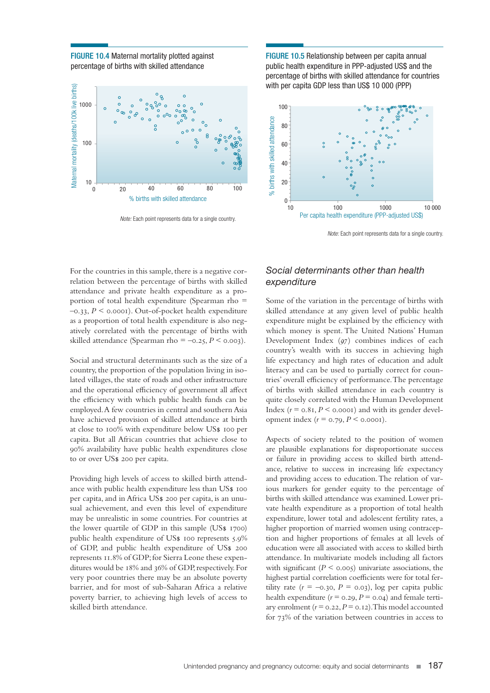



Note: Each point represents data for a single country.

FIGURE 10.5 Relationship between per capita annual public health expenditure in PPP-adjusted US\$ and the percentage of births with skilled attendance for countries with per capita GDP less than US\$ 10 000 (PPP)



Note: Each point represents data for a single country.

For the countries in this sample, there is a negative correlation between the percentage of births with skilled attendance and private health expenditure as a proportion of total health expenditure (Spearman rho = –0.33, *P* < 0.0001). Out-of-pocket health expenditure as a proportion of total health expenditure is also negatively correlated with the percentage of births with skilled attendance (Spearman rho =  $-0.25$ ,  $P \le 0.003$ ).

Social and structural determinants such as the size of a country, the proportion of the population living in isolated villages, the state of roads and other infrastructure and the operational efficiency of government all affect the efficiency with which public health funds can be employed. A few countries in central and southern Asia have achieved provision of skilled attendance at birth at close to 100% with expenditure below US\$ 100 per capita. But all African countries that achieve close to 90% availability have public health expenditures close to or over US\$ 200 per capita.

Providing high levels of access to skilled birth attendance with public health expenditure less than US\$ 100 per capita, and in Africa US\$ 200 per capita, is an unusual achievement, and even this level of expenditure may be unrealistic in some countries. For countries at the lower quartile of GDP in this sample (US\$ 1700) public health expenditure of US\$ 100 represents 5.9% of GDP, and public health expenditure of US\$ 200 represents 11.8% of GDP; for Sierra Leone these expenditures would be 18% and 36% of GDP, respectively. For very poor countries there may be an absolute poverty barrier, and for most of sub-Saharan Africa a relative poverty barrier, to achieving high levels of access to skilled birth attendance.

#### Social determinants other than health expenditure

Some of the variation in the percentage of births with skilled attendance at any given level of public health expenditure might be explained by the efficiency with which money is spent. The United Nations' Human Development Index (97) combines indices of each country's wealth with its success in achieving high life expectancy and high rates of education and adult literacy and can be used to partially correct for countries' overall efficiency of performance. The percentage of births with skilled attendance in each country is quite closely correlated with the Human Development Index  $(r = 0.8$ <sub>I</sub>,  $P \le 0.000$ <sub>I</sub>) and with its gender development index  $(r = 0.79, P \le 0.0001)$ .

Aspects of society related to the position of women are plausible explanations for disproportionate success or failure in providing access to skilled birth attendance, relative to success in increasing life expectancy and providing access to education. The relation of various markers for gender equity to the percentage of births with skilled attendance was examined. Lower private health expenditure as a proportion of total health expenditure, lower total and adolescent fertility rates, a higher proportion of married women using contraception and higher proportions of females at all levels of education were all associated with access to skilled birth attendance. In multivariate models including all factors with significant  $(P \le 0.005)$  univariate associations, the highest partial correlation coefficients were for total fertility rate  $(r = -0.30, P = 0.03)$ , log per capita public health expenditure  $(r = 0.29, P = 0.04)$  and female tertiary enrolment  $(r = 0.22, P = 0.12)$ . This model accounted for 73% of the variation between countries in access to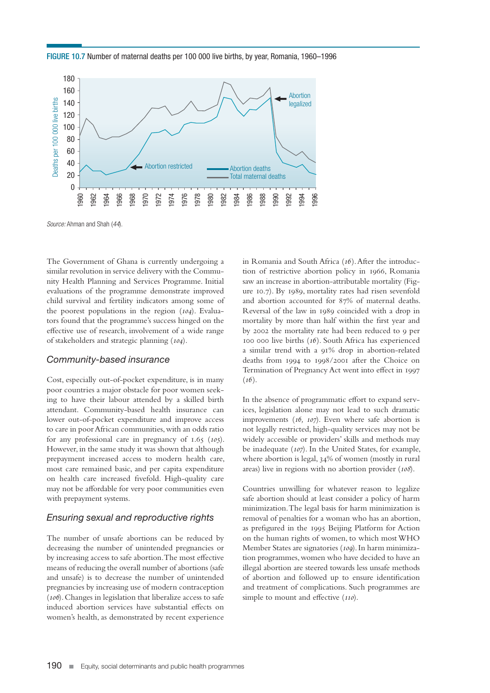



The Government of Ghana is currently undergoing a similar revolution in service delivery with the Community Health Planning and Services Programme. Initial evaluations of the programme demonstrate improved child survival and fertility indicators among some of the poorest populations in the region (*104*). Evaluators found that the programme's success hinged on the effective use of research, involvement of a wide range of stakeholders and strategic planning (*104*).

#### Community-based insurance

Cost, especially out-of-pocket expenditure, is in many poor countries a major obstacle for poor women seeking to have their labour attended by a skilled birth attendant. Community-based health insurance can lower out-of-pocket expenditure and improve access to care in poor African communities, with an odds ratio for any professional care in pregnancy of 1.65 (*105*). However, in the same study it was shown that although prepayment increased access to modern health care, most care remained basic, and per capita expenditure on health care increased fivefold. High-quality care may not be affordable for very poor communities even with prepayment systems.

#### Ensuring sexual and reproductive rights

The number of unsafe abortions can be reduced by decreasing the number of unintended pregnancies or by increasing access to safe abortion. The most effective means of reducing the overall number of abortions (safe and unsafe) is to decrease the number of unintended pregnancies by increasing use of modern contraception (*106*). Changes in legislation that liberalize access to safe induced abortion services have substantial effects on women's health, as demonstrated by recent experience in Romania and South Africa (*16* ). After the introduction of restrictive abortion policy in 1966, Romania saw an increase in abortion-attributable mortality (Figure 10.7). By 1989, mortality rates had risen sevenfold and abortion accounted for 87% of maternal deaths. Reversal of the law in 1989 coincided with a drop in mortality by more than half within the first year and by 2002 the mortality rate had been reduced to 9 per 100 000 live births (*16* ). South Africa has experienced a similar trend with a 91% drop in abortion-related deaths from 1994 to 1998/2001 after the Choice on Termination of Pregnancy Act went into effect in 1997  $(16)$ .

In the absence of programmatic effort to expand services, legislation alone may not lead to such dramatic improvements (*16, 107*). Even where safe abortion is not legally restricted, high-quality services may not be widely accessible or providers' skills and methods may be inadequate (*107*). In the United States, for example, where abortion is legal, 34% of women (mostly in rural areas) live in regions with no abortion provider (*108*).

Countries unwilling for whatever reason to legalize safe abortion should at least consider a policy of harm minimization. The legal basis for harm minimization is removal of penalties for a woman who has an abortion, as prefigured in the 1995 Beijing Platform for Action on the human rights of women, to which most WHO Member States are signatories (*109*). In harm minimization programmes, women who have decided to have an illegal abortion are steered towards less unsafe methods of abortion and followed up to ensure identification and treatment of complications. Such programmes are simple to mount and effective (*110*).

Source: Ahman and Shah (44).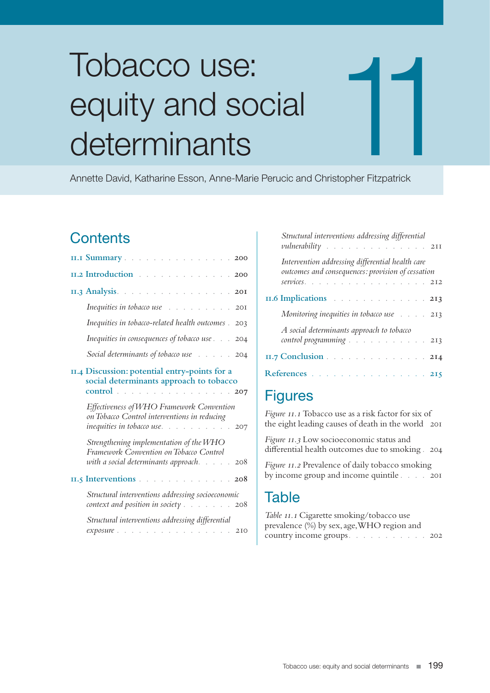### Tobacco use: equity and social determinants

Annette David, Katharine Esson, Anne-Marie Perucic and Christopher Fitzpatrick Friedrich<br>Spher Fitzpatrick

#### **Contents**

| II.I Summary 200                                                                                                                     |  |
|--------------------------------------------------------------------------------------------------------------------------------------|--|
| II.2 Introduction 200                                                                                                                |  |
| 11.3 Analysis.<br>20I                                                                                                                |  |
| Inequities in tobacco use remains and results in the set<br><b>20I</b>                                                               |  |
| Inequities in tobacco-related health outcomes.<br>203                                                                                |  |
| Inequities in consequences of tobacco use<br>204                                                                                     |  |
| Social determinants of tobacco use 204                                                                                               |  |
| 11.4 Discussion: potential entry-points for a<br>social determinants approach to tobacco<br>control 207                              |  |
| Effectiveness of WHO Framework Convention<br>on Tobacco Control interventions in reducing<br>inequities in tobacco use. $\ldots$ 207 |  |
| Strengthening implementation of the WHO<br>Framework Convention on Tobacco Control<br>with a social determinants approach208         |  |
| II.5 Interventions 208                                                                                                               |  |
| Structural interventions addressing socioeconomic<br>context and position in society $\ldots$ 208                                    |  |
| Structural interventions addressing differential<br>exposure 210                                                                     |  |

| Structural interventions addressing differential<br>vulnerability 211                                 |  |  |  |
|-------------------------------------------------------------------------------------------------------|--|--|--|
| Intervention addressing differential health care<br>outcomes and consequences: provision of cessation |  |  |  |
| services. 212                                                                                         |  |  |  |
| $II.6$ Implications $\ldots \ldots \ldots \ldots \ldots 2I3$                                          |  |  |  |
| Monitoring inequities in tobacco use $\ldots$ 213                                                     |  |  |  |
| A social determinants approach to tobacco                                                             |  |  |  |
| control programming 213                                                                               |  |  |  |
| 11.7 Conclusion 214                                                                                   |  |  |  |
| References 215                                                                                        |  |  |  |

#### **Figures**

*Figure 11.1* Tobacco use as a risk factor for six of the eight leading causes of death in the world 201

*Figure 11.3* Low socioeconomic status and differential health outcomes due to smoking . 204

*Figure 11.2* Prevalence of daily tobacco smoking by income group and income quintile . . . . 201

#### Table

*Table 11.1* Cigarette smoking/tobacco use prevalence (%) by sex, age, WHO region and country income groups. . . . . . . . . . . 202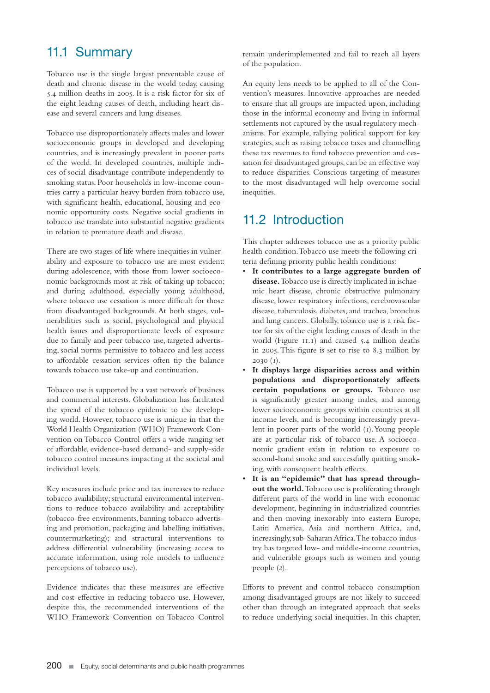Tobacco use is the single largest preventable cause of death and chronic disease in the world today, causing 5.4 million deaths in 2005. It is a risk factor for six of the eight leading causes of death, including heart disease and several cancers and lung diseases.

Tobacco use disproportionately affects males and lower socioeconomic groups in developed and developing countries, and is increasingly prevalent in poorer parts of the world. In developed countries, multiple indices of social disadvantage contribute independently to smoking status. Poor households in low-income countries carry a particular heavy burden from tobacco use, with significant health, educational, housing and economic opportunity costs. Negative social gradients in tobacco use translate into substantial negative gradients in relation to premature death and disease.

There are two stages of life where inequities in vulnerability and exposure to tobacco use are most evident: during adolescence, with those from lower socioeconomic backgrounds most at risk of taking up tobacco; and during adulthood, especially young adulthood, where tobacco use cessation is more difficult for those from disadvantaged backgrounds. At both stages, vulnerabilities such as social, psychological and physical health issues and disproportionate levels of exposure due to family and peer tobacco use, targeted advertising, social norms permissive to tobacco and less access to affordable cessation services often tip the balance towards tobacco use take-up and continuation.

Tobacco use is supported by a vast network of business and commercial interests. Globalization has facilitated the spread of the tobacco epidemic to the developing world. However, tobacco use is unique in that the World Health Organization (WHO) Framework Convention on Tobacco Control offers a wide-ranging set of affordable, evidence-based demand- and supply-side tobacco control measures impacting at the societal and individual levels.

Key measures include price and tax increases to reduce tobacco availability; structural environmental interventions to reduce tobacco availability and acceptability (tobacco-free environments, banning tobacco advertising and promotion, packaging and labelling initiatives, countermarketing); and structural interventions to address differential vulnerability (increasing access to accurate information, using role models to influence perceptions of tobacco use).

Evidence indicates that these measures are effective and cost-effective in reducing tobacco use. However, despite this, the recommended interventions of the WHO Framework Convention on Tobacco Control

remain underimplemented and fail to reach all layers of the population.

An equity lens needs to be applied to all of the Convention's measures. Innovative approaches are needed to ensure that all groups are impacted upon, including those in the informal economy and living in informal settlements not captured by the usual regulatory mechanisms. For example, rallying political support for key strategies, such as raising tobacco taxes and channelling these tax revenues to fund tobacco prevention and cessation for disadvantaged groups, can be an effective way to reduce disparities. Conscious targeting of measures to the most disadvantaged will help overcome social inequities.

#### 11.2 Introduction

This chapter addresses tobacco use as a priority public health condition. Tobacco use meets the following criteria defining priority public health conditions:

- It contributes to a large aggregate burden of **disease.** Tobacco use is directly implicated in ischaemic heart disease, chronic obstructive pulmonary disease, lower respiratory infections, cerebrovascular disease, tuberculosis, diabetes, and trachea, bronchus and lung cancers. Globally, tobacco use is a risk factor for six of the eight leading causes of death in the world (Figure 11.1) and caused 5.4 million deaths in 2005. This figure is set to rise to 8.3 million by 2030 (*1*).
- It displays large disparities across and within **populations and disproportionately affects certain populations or groups.** Tobacco use is significantly greater among males, and among lower socioeconomic groups within countries at all income levels, and is becoming increasingly prevalent in poorer parts of the world (*1*). Young people are at particular risk of tobacco use. A socioeconomic gradient exists in relation to exposure to second-hand smoke and successfully quitting smoking, with consequent health effects.
- It is an "epidemic" that has spread through**out the world.** Tobacco use is proliferating through different parts of the world in line with economic development, beginning in industrialized countries and then moving inexorably into eastern Europe, Latin America, Asia and northern Africa, and, increasingly, sub-Saharan Africa. The tobacco industry has targeted low- and middle-income countries, and vulnerable groups such as women and young people (*2*).

Efforts to prevent and control tobacco consumption among disadvantaged groups are not likely to succeed other than through an integrated approach that seeks to reduce underlying social inequities. In this chapter,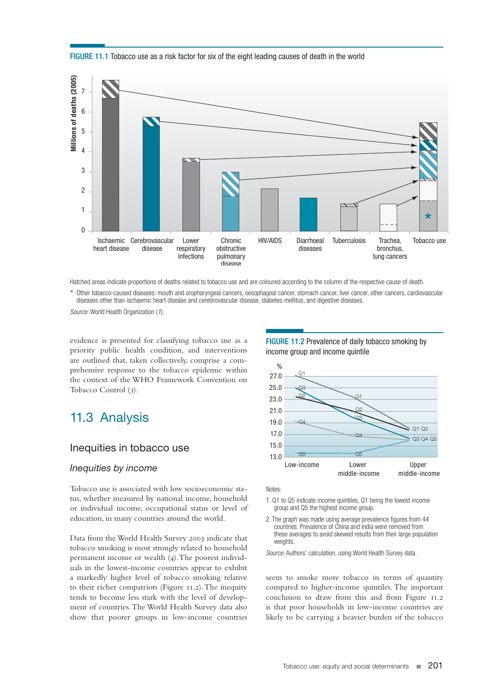

FIGURE 11.1 Tobacco use as a risk factor for six of the eight leading causes of death in the world

Hatched areas indicate proportions of deaths related to tobacco use and are coloured according to the column of the respective cause of death.

\* Other tobacco-caused diseases: mouth and oropharyngeal cancers, oesophageal cancer, stomach cancer, liver cancer, other cancers, cardiovascular diseases other than ischaemic heart disease and cerebrovascular disease, diabetes mellitus, and digestive diseases.

evidence is presented for classifying tobacco use as a priority public health condition, and interventions are outlined that, taken collectively, comprise a comprehensive response to the tobacco epidemic within the context of the WHO Framework Convention on Tobacco Control (*3*).

#### 11.3 Analysis

#### Inequities in tobacco use

#### Inequities by income

Tobacco use is associated with low socioeconomic status, whether measured by national income, household or individual income, occupational status or level of education, in many countries around the world.

Data from the World Health Survey 2003 indicate that tobacco smoking is most strongly related to household permanent income or wealth (*4*). The poorest individuals in the lowest-income countries appear to exhibit a markedly higher level of tobacco smoking relative to their richer compatriots (Figure 11.2). The inequity tends to become less stark with the level of development of countries. The World Health Survey data also show that poorer groups in low-income countries





#### **Notes**

- 1. Q1 to Q5 indicate income quintiles, Q1 being the lowest income group and Q5 the highest income group.
- 2. The graph was made using average prevalence figures from 44 countries. Prevalence of China and India were removed from these averages to avoid skewed results from their large population weights.

Source: Authors' calculation, using World Health Survey data.

seem to smoke more tobacco in terms of quantity compared to higher-income quintiles. The important conclusion to draw from this and from Figure 11.2 is that poor households in low-income countries are likely to be carrying a heavier burden of the tobacco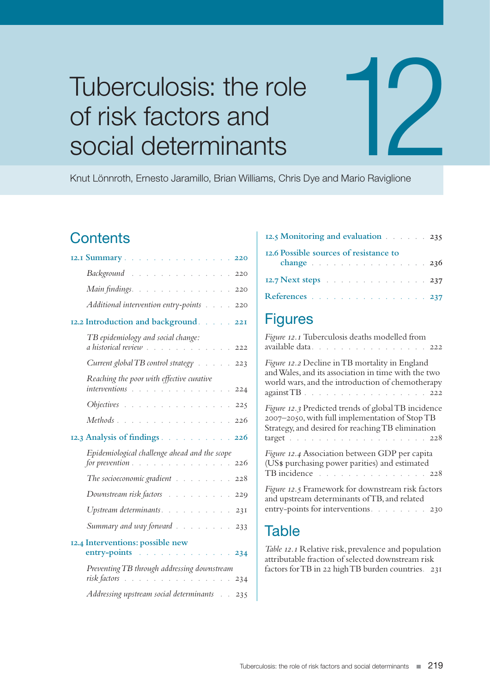# Tuberculosis: the role of risk factors and Tuberculosis: the role<br>of risk factors and<br>social determinants<br>Knut Lönnroth, Ernesto Jaramillo, Brian Williams, Chris Dye and Mario Raviglione

Knut Lönnroth, Ernesto Jaramillo, Brian Williams, Chris Dye and Mario Raviglione

#### **Contents**

| 12.1 Summary.<br>220                                                                                      |
|-----------------------------------------------------------------------------------------------------------|
| Background<br>220                                                                                         |
| Main findings<br>and the contract of the<br>220                                                           |
| Additional intervention entry-points<br>220                                                               |
| 12.2 Introduction and background.<br>22I                                                                  |
| TB epidemiology and social change:<br>a historical review<br>222                                          |
| Current global TB control strategy<br>223                                                                 |
| Reaching the poor with effective curative                                                                 |
| <i>interventions</i><br>and the state of<br>224                                                           |
| $\sum$ Objectives $\cdots$ $\cdots$ $\cdots$ $\cdots$<br>225                                              |
| Methods<br>226<br>$\sim$ $\sim$ $\sim$ $\sim$                                                             |
| 12.3 Analysis of findings.<br>226<br><b>Contractor</b>                                                    |
| Epidemiological challenge ahead and the scope<br>for prevention.<br>226<br>and the contract of the        |
| The socioeconomic gradient $\ldots$ $\ldots$<br>228                                                       |
| Downstream risk factors<br>229                                                                            |
| Upstream determinants.<br>23I                                                                             |
| Summary and way forward $\ldots$ $\ldots$ $\ldots$<br>233                                                 |
| 12.4 Interventions: possible new<br>entry-points<br>a na salawansa<br>234                                 |
| Preventing TB through addressing downstream<br>risk factors<br>and the contract of the contract of<br>234 |
| Addressing upstream social determinants<br>235                                                            |

| 12.5 Monitoring and evaluation 235                            |  |  |  |  |  |  |  |  |
|---------------------------------------------------------------|--|--|--|--|--|--|--|--|
| 12.6 Possible sources of resistance to<br>change $\ldots$ 236 |  |  |  |  |  |  |  |  |
| 12.7 Next steps 237                                           |  |  |  |  |  |  |  |  |
| References 237                                                |  |  |  |  |  |  |  |  |

#### **Figures**

| Figure 12.1 Tuberculosis deaths modelled from<br>available data222                                                                                               |
|------------------------------------------------------------------------------------------------------------------------------------------------------------------|
| <i>Figure 12.2</i> Decline in TB mortality in England<br>and Wales, and its association in time with the two<br>world wars, and the introduction of chemotherapy |
| Figure 12.3 Predicted trends of global TB incidence<br>2007-2050, with full implementation of Stop TB<br>Strategy, and desired for reaching TB elimination       |
| Figure 12.4 Association between GDP per capita<br>(US\$ purchasing power parities) and estimated<br>TB incidence<br>. 228                                        |
| Figure 12.5 Framework for downstream risk factors<br>and upstream determinants of TB, and related<br>entry-points for interventions. 230                         |

#### **Table**

*Table 12.1* Relative risk, prevalence and population attributable fraction of selected downstream risk factors for TB in 22 high TB burden countries. 231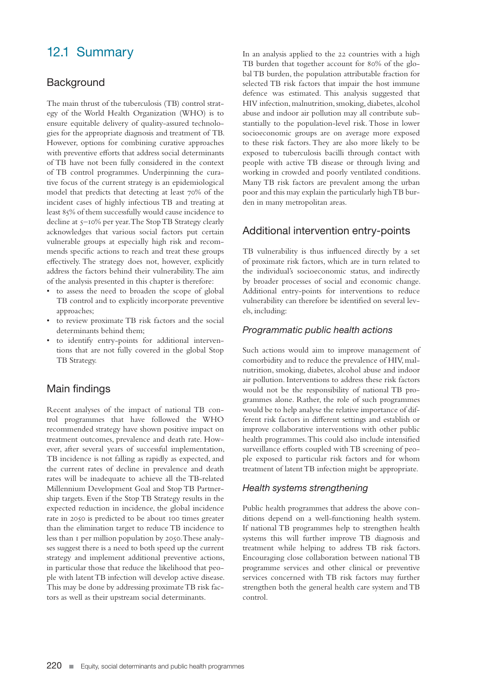#### **Background**

The main thrust of the tuberculosis (TB) control strategy of the World Health Organization (WHO) is to ensure equitable delivery of quality-assured technologies for the appropriate diagnosis and treatment of TB. However, options for combining curative approaches with preventive efforts that address social determinants of TB have not been fully considered in the context of TB control programmes. Underpinning the curative focus of the current strategy is an epidemiological model that predicts that detecting at least 70% of the incident cases of highly infectious TB and treating at least 85% of them successfully would cause incidence to decline at 5–10% per year. The Stop TB Strategy clearly acknowledges that various social factors put certain vulnerable groups at especially high risk and recommends specific actions to reach and treat these groups effectively. The strategy does not, however, explicitly address the factors behind their vulnerability. The aim of the analysis presented in this chapter is therefore:

- to assess the need to broaden the scope of global TB control and to explicitly incorporate preventive approaches;
- to review proximate TB risk factors and the social determinants behind them;
- to identify entry-points for additional interventions that are not fully covered in the global Stop TB Strategy.

#### Main findings

Recent analyses of the impact of national TB control programmes that have followed the WHO recommended strategy have shown positive impact on treatment outcomes, prevalence and death rate. However, after several years of successful implementation, TB incidence is not falling as rapidly as expected, and the current rates of decline in prevalence and death rates will be inadequate to achieve all the TB-related Millennium Development Goal and Stop TB Partnership targets. Even if the Stop TB Strategy results in the expected reduction in incidence, the global incidence rate in 2050 is predicted to be about 100 times greater than the elimination target to reduce TB incidence to less than 1 per million population by 2050. These analyses suggest there is a need to both speed up the current strategy and implement additional preventive actions, in particular those that reduce the likelihood that people with latent TB infection will develop active disease. This may be done by addressing proximate TB risk factors as well as their upstream social determinants.

In an analysis applied to the 22 countries with a high TB burden that together account for 80% of the global TB burden, the population attributable fraction for selected TB risk factors that impair the host immune defence was estimated. This analysis suggested that HIV infection, malnutrition, smoking, diabetes, alcohol abuse and indoor air pollution may all contribute substantially to the population-level risk. Those in lower socioeconomic groups are on average more exposed to these risk factors. They are also more likely to be exposed to tuberculosis bacilli through contact with people with active TB disease or through living and working in crowded and poorly ventilated conditions. Many TB risk factors are prevalent among the urban poor and this may explain the particularly high TB burden in many metropolitan areas.

#### Additional intervention entry-points

TB vulnerability is thus influenced directly by a set of proximate risk factors, which are in turn related to the individual's socioeconomic status, and indirectly by broader processes of social and economic change. Additional entry-points for interventions to reduce vulnerability can therefore be identified on several levels, including:

#### Programmatic public health actions

Such actions would aim to improve management of comorbidity and to reduce the prevalence of HIV, malnutrition, smoking, diabetes, alcohol abuse and indoor air pollution. Interventions to address these risk factors would not be the responsibility of national TB programmes alone. Rather, the role of such programmes would be to help analyse the relative importance of different risk factors in different settings and establish or improve collaborative interventions with other public health programmes. This could also include intensified surveillance efforts coupled with TB screening of people exposed to particular risk factors and for whom treatment of latent TB infection might be appropriate.

#### Health systems strengthening

Public health programmes that address the above conditions depend on a well-functioning health system. If national TB programmes help to strengthen health systems this will further improve TB diagnosis and treatment while helping to address TB risk factors. Encouraging close collaboration between national TB programme services and other clinical or preventive services concerned with TB risk factors may further strengthen both the general health care system and TB control.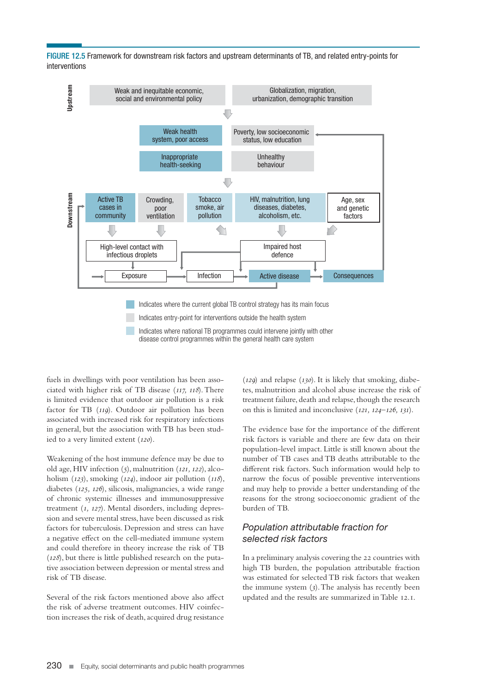FIGURE 12.5 Framework for downstream risk factors and upstream determinants of TB, and related entry-points for interventions



fuels in dwellings with poor ventilation has been associated with higher risk of TB disease (*117, 118*). There is limited evidence that outdoor air pollution is a risk factor for TB (*119*). Outdoor air pollution has been associated with increased risk for respiratory infections in general, but the association with TB has been studied to a very limited extent (*120*).

Weakening of the host immune defence may be due to old age, HIV infection (*5*), malnutrition (*121, 122*), alcoholism (*123*), smoking (*124*), indoor air pollution (*118*), diabetes (*125, 126*), silicosis, malignancies, a wide range of chronic systemic illnesses and immunosuppressive treatment (*1, 127*). Mental disorders, including depression and severe mental stress, have been discussed as risk factors for tuberculosis. Depression and stress can have a negative effect on the cell-mediated immune system and could therefore in theory increase the risk of TB (*128*), but there is little published research on the putative association between depression or mental stress and risk of TB disease.

Several of the risk factors mentioned above also affect the risk of adverse treatment outcomes. HIV coinfection increases the risk of death, acquired drug resistance

(*129*) and relapse (*130*). It is likely that smoking, diabetes, malnutrition and alcohol abuse increase the risk of treatment failure, death and relapse, though the research on this is limited and inconclusive (*121, 124–126, 131*).

The evidence base for the importance of the different risk factors is variable and there are few data on their population-level impact. Little is still known about the number of TB cases and TB deaths attributable to the different risk factors. Such information would help to narrow the focus of possible preventive interventions and may help to provide a better understanding of the reasons for the strong socioeconomic gradient of the burden of TB.

#### Population attributable fraction for selected risk factors

In a preliminary analysis covering the 22 countries with high TB burden, the population attributable fraction was estimated for selected TB risk factors that weaken the immune system (*3*). The analysis has recently been updated and the results are summarized in Table 12.1.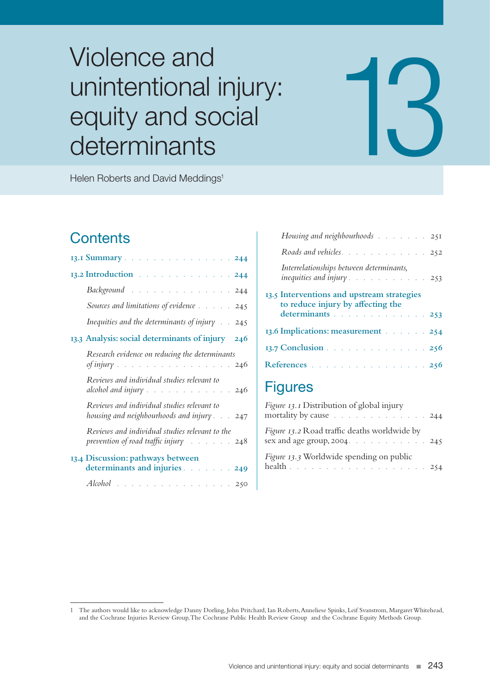### Violence and unintentional injury: equity and social determinants

# 13

Helen Roberts and David Meddings 1

#### **Contents**

| 13.1 Summary 244                                                                                          |  |
|-----------------------------------------------------------------------------------------------------------|--|
| 13.2 Introduction 244                                                                                     |  |
| Background 244                                                                                            |  |
| Sources and limitations of evidence $\ldots$ $\ldots$ 245                                                 |  |
| Inequities and the determinants of injury $\ldots$ 245                                                    |  |
| 13.3 Analysis: social determinants of injury 246                                                          |  |
| Research evidence on reducing the determinants<br>of injury 246                                           |  |
| Reviews and individual studies relevant to<br>alcohol and injury $\ldots \ldots \ldots \ldots \ldots 246$ |  |
| Reviews and individual studies relevant to<br>housing and neighbourhoods and injury $\ldots$ 247          |  |
| Reviews and individual studies relevant to the<br>prevention of road traffic injury $\ldots \ldots$ 248   |  |
| 13.4 Discussion: pathways between<br>determinants and injuries. 249                                       |  |
| Alcohol 250                                                                                               |  |

| Housing and neighbourhoods 251                                                                        |  |
|-------------------------------------------------------------------------------------------------------|--|
| Roads and vehicles. 252                                                                               |  |
| Interrelationships between determinants,<br>inequities and injury. $\ldots$ . $\ldots$ . $\ldots$ 253 |  |
| 13.5 Interventions and upstream strategies<br>to reduce injury by affecting the<br>determinants 253   |  |
| 13.6 Implications: measurement 254                                                                    |  |
| 13.7 Conclusion 256                                                                                   |  |
| References 256                                                                                        |  |
|                                                                                                       |  |

#### **Figures**

| Figure 13.1 Distribution of global injury<br>mortality by cause 244                          |  |
|----------------------------------------------------------------------------------------------|--|
| <i>Figure 13.2</i> Road traffic deaths worldwide by<br>sex and age group, 2004. $\ldots$ 245 |  |
| <i>Figure 13.3</i> Worldwide spending on public                                              |  |

<sup>1</sup> The authors would like to acknowledge Danny Dorling, John Pritchard, Ian Roberts, Anneliese Spinks, Leif Svanstrom, Margaret Whitehead, and the Cochrane Injuries Review Group, The Cochrane Public Health Review Group and the Cochrane Equity Methods Group.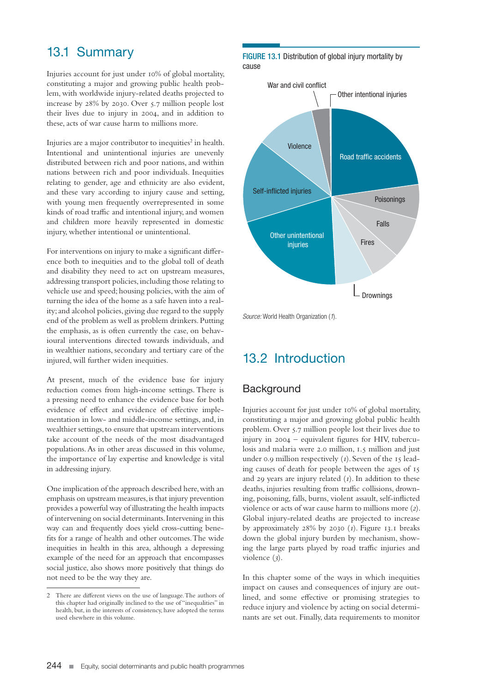Injuries account for just under 10% of global mortality, constituting a major and growing public health problem, with worldwide injury-related deaths projected to increase by 28% by 2030. Over 5.7 million people lost their lives due to injury in 2004, and in addition to these, acts of war cause harm to millions more.

Injuries are a major contributor to inequities<sup>2</sup> in health. Intentional and unintentional injuries are unevenly distributed between rich and poor nations, and within nations between rich and poor individuals. Inequities relating to gender, age and ethnicity are also evident, and these vary according to injury cause and setting, with young men frequently overrepresented in some kinds of road traffic and intentional injury, and women and children more heavily represented in domestic injury, whether intentional or unintentional.

For interventions on injury to make a significant difference both to inequities and to the global toll of death and disability they need to act on upstream measures, addressing transport policies, including those relating to vehicle use and speed; housing policies, with the aim of turning the idea of the home as a safe haven into a reality; and alcohol policies, giving due regard to the supply end of the problem as well as problem drinkers. Putting the emphasis, as is often currently the case, on behavioural interventions directed towards individuals, and in wealthier nations, secondary and tertiary care of the injured, will further widen inequities.

At present, much of the evidence base for injury reduction comes from high-income settings. There is a pressing need to enhance the evidence base for both evidence of effect and evidence of effective implementation in low- and middle-income settings, and, in wealthier settings, to ensure that upstream interventions take account of the needs of the most disadvantaged populations. As in other areas discussed in this volume, the importance of lay expertise and knowledge is vital in addressing injury.

One implication of the approach described here, with an emphasis on upstream measures, is that injury prevention provides a powerful way of illustrating the health impacts of intervening on social determinants. Intervening in this way can and frequently does yield cross-cutting benefits for a range of health and other outcomes. The wide inequities in health in this area, although a depressing example of the need for an approach that encompasses social justice, also shows more positively that things do not need to be the way they are.





Source: World Health Organization (1).

#### 13.2 Introduction

#### **Background**

Injuries account for just under 10% of global mortality, constituting a major and growing global public health problem. Over 5.7 million people lost their lives due to injury in 2004 – equivalent figures for HIV, tuberculosis and malaria were 2.0 million, 1.5 million and just under 0.9 million respectively (*1*). Seven of the 15 leading causes of death for people between the ages of 15 and 29 years are injury related (*1*). In addition to these deaths, injuries resulting from traffic collisions, drowning, poisoning, falls, burns, violent assault, self-inflicted violence or acts of war cause harm to millions more (*2*). Global injury-related deaths are projected to increase by approximately 28% by 2030 (*1*). Figure 13.1 breaks down the global injury burden by mechanism, showing the large parts played by road traffic injuries and violence (*3*).

In this chapter some of the ways in which inequities impact on causes and consequences of injury are outlined, and some effective or promising strategies to reduce injury and violence by acting on social determinants are set out. Finally, data requirements to monitor

<sup>2</sup> There are different views on the use of language. The authors of this chapter had originally inclined to the use of "inequalities" in health, but, in the interests of consistency, have adopted the terms used elsewhere in this volume.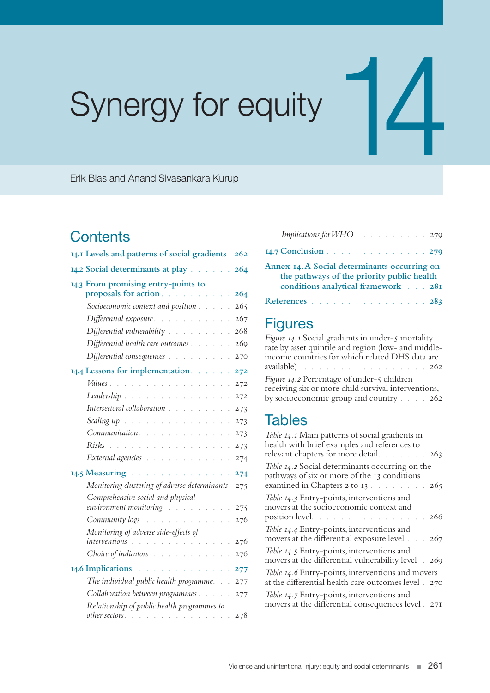### Synergy for equity

Erik Blas and Anand Sivasankara Kurup

#### **Contents**

| 14.1 Levels and patterns of social gradients                                                                                                                                                                                   | 262 |
|--------------------------------------------------------------------------------------------------------------------------------------------------------------------------------------------------------------------------------|-----|
| 14.2 Social determinants at play                                                                                                                                                                                               | 264 |
| 14.3 From promising entry-points to                                                                                                                                                                                            |     |
| proposals for action                                                                                                                                                                                                           | 264 |
| Socioeconomic context and position                                                                                                                                                                                             | 265 |
| Differential exposure.                                                                                                                                                                                                         | 267 |
| $\text{Differential } \text{vunderability} \dots \dots \dots$                                                                                                                                                                  | 268 |
| Differential health care outcomes                                                                                                                                                                                              | 269 |
| Differential consequences                                                                                                                                                                                                      | 270 |
| 14.4 Lessons for implementation.                                                                                                                                                                                               | 272 |
| <i>Values</i>                                                                                                                                                                                                                  | 272 |
| Leadership                                                                                                                                                                                                                     | 272 |
| Intersectoral collaboration                                                                                                                                                                                                    | 273 |
| Scaling up $\ldots$ $\ldots$ $\ldots$ $\ldots$                                                                                                                                                                                 | 273 |
| Communication.                                                                                                                                                                                                                 | 273 |
| $Risks$                                                                                                                                                                                                                        | 273 |
| External agencies<br>the contract of the contract of<br>$\sim$                                                                                                                                                                 | 274 |
| 14.5 Measuring                                                                                                                                                                                                                 | 274 |
| Monitoring clustering of adverse determinants                                                                                                                                                                                  | 275 |
| Comprehensive social and physical                                                                                                                                                                                              |     |
| environment monitoring                                                                                                                                                                                                         | 275 |
| Community logs                                                                                                                                                                                                                 | 276 |
| Monitoring of adverse side-effects of                                                                                                                                                                                          |     |
| interventions                                                                                                                                                                                                                  | 276 |
| Choice of indicators                                                                                                                                                                                                           | 276 |
| 14.6 Implications resources and set of the set of the set of the set of the set of the set of the set of the set of the set of the set of the set of the set of the set of the set of the set of the set of the set of the set | 277 |
| The individual public health programme. $\ldots$ 277                                                                                                                                                                           |     |
| Collaboration between programmes                                                                                                                                                                                               | 277 |
| Relationship of public health programmes to                                                                                                                                                                                    |     |
| other sectors.                                                                                                                                                                                                                 | 278 |

| 14.7 Conclusion 279                                                                                                               |  |  |
|-----------------------------------------------------------------------------------------------------------------------------------|--|--|
| Annex 14. A Social determinants occurring on<br>the pathways of the priority public health<br>conditions analytical framework 281 |  |  |
| References 283                                                                                                                    |  |  |

#### **Figures**

*Figure 14.1* Social gradients in under-5 mortality rate by asset quintile and region (low- and middleincome countries for which related DHS data are available) . . . . . . . . . . . . . . . . . 262 *Figure 14.2* Percentage of under-5 children receiving six or more child survival interventions, by socioeconomic group and country . . . . 262

#### **Tables**

| Table 14.1 Main patterns of social gradients in<br>health with brief examples and references to<br>relevant chapters for more detail. 263 |  |
|-------------------------------------------------------------------------------------------------------------------------------------------|--|
| Table 14.2 Social determinants occurring on the<br>pathways of six or more of the 13 conditions<br>examined in Chapters 2 to 13. 265      |  |
| Table 14.3 Entry-points, interventions and<br>movers at the socioeconomic context and<br>position level. 266                              |  |
| Table 14.4 Entry-points, interventions and<br>movers at the differential exposure level 267                                               |  |
| Table 14.5 Entry-points, interventions and<br>movers at the differential vulnerability level . 269                                        |  |
| Table 14.6 Entry-points, interventions and movers<br>at the differential health care outcomes level . 270                                 |  |
| Table 14.7 Entry-points, interventions and<br>movers at the differential consequences level . 27I                                         |  |